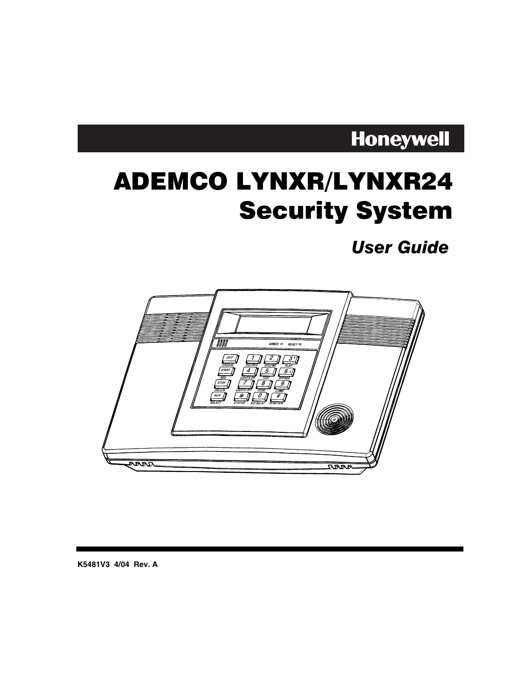## **Honeywell**

# ADEMCO LYNXR/LYNXR24 **Security System**

**User Guide** 



**K5481V3 4/04 Rev. A**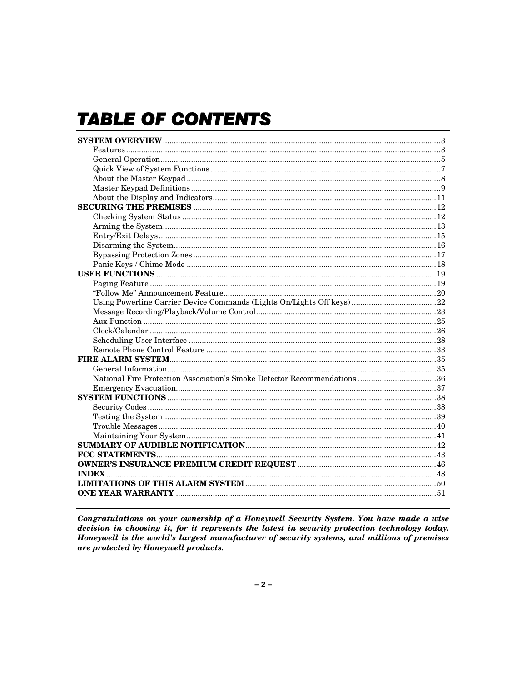## **TABLE OF CONTENTS**

| National Fire Protection Association's Smoke Detector Recommendations 36 |  |
|--------------------------------------------------------------------------|--|
|                                                                          |  |
|                                                                          |  |
|                                                                          |  |
|                                                                          |  |
|                                                                          |  |
|                                                                          |  |
|                                                                          |  |
|                                                                          |  |
|                                                                          |  |
|                                                                          |  |
|                                                                          |  |
|                                                                          |  |
|                                                                          |  |
|                                                                          |  |
|                                                                          |  |
|                                                                          |  |
|                                                                          |  |
|                                                                          |  |
|                                                                          |  |
|                                                                          |  |
|                                                                          |  |
|                                                                          |  |
|                                                                          |  |
|                                                                          |  |
|                                                                          |  |
|                                                                          |  |
|                                                                          |  |
|                                                                          |  |
|                                                                          |  |
|                                                                          |  |
|                                                                          |  |
|                                                                          |  |
|                                                                          |  |
|                                                                          |  |
|                                                                          |  |
|                                                                          |  |
|                                                                          |  |

Congratulations on your ownership of a Honeywell Security System. You have made a wise decision in choosing it, for it represents the latest in security protection technology today. Honeywell is the world's largest manufacturer of security systems, and millions of premises are protected by Honeywell products.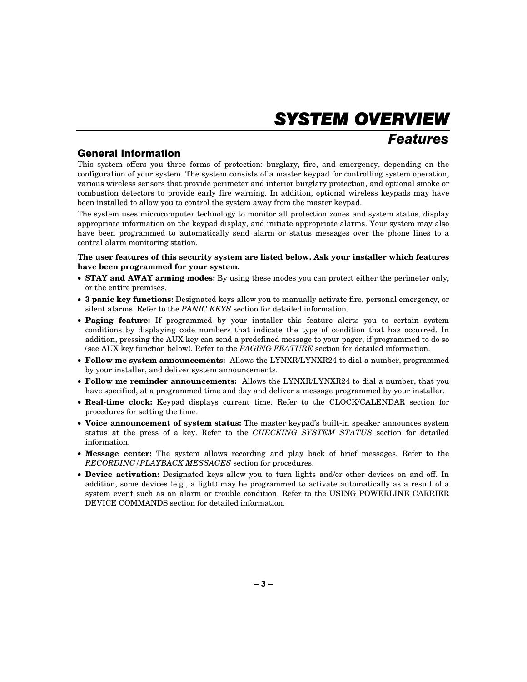## **SYSTEM OVERVIEW**

### *Features*

### **General Information**

This system offers you three forms of protection: burglary, fire, and emergency, depending on the configuration of your system. The system consists of a master keypad for controlling system operation, various wireless sensors that provide perimeter and interior burglary protection, and optional smoke or combustion detectors to provide early fire warning. In addition, optional wireless keypads may have been installed to allow you to control the system away from the master keypad.

The system uses microcomputer technology to monitor all protection zones and system status, display appropriate information on the keypad display, and initiate appropriate alarms. Your system may also have been programmed to automatically send alarm or status messages over the phone lines to a central alarm monitoring station.

**The user features of this security system are listed below. Ask your installer which features have been programmed for your system.** 

- **STAY and AWAY arming modes:** By using these modes you can protect either the perimeter only, or the entire premises.
- **3 panic key functions:** Designated keys allow you to manually activate fire, personal emergency, or silent alarms. Refer to the *PANIC KEYS* section for detailed information.
- **Paging feature:** If programmed by your installer this feature alerts you to certain system conditions by displaying code numbers that indicate the type of condition that has occurred. In addition, pressing the AUX key can send a predefined message to your pager, if programmed to do so (see AUX key function below). Refer to the *PAGING FEATURE* section for detailed information.
- **Follow me system announcements:** Allows the LYNXR/LYNXR24 to dial a number, programmed by your installer, and deliver system announcements.
- **Follow me reminder announcements:** Allows the LYNXR/LYNXR24 to dial a number, that you have specified, at a programmed time and day and deliver a message programmed by your installer.
- **Real-time clock:** Keypad displays current time. Refer to the CLOCK/CALENDAR section for procedures for setting the time.
- **Voice announcement of system status:** The master keypad's built-in speaker announces system status at the press of a key. Refer to the *CHECKING SYSTEM STATUS* section for detailed information.
- **Message center:** The system allows recording and play back of brief messages. Refer to the *RECORDING/PLAYBACK MESSAGES* section for procedures.
- **Device activation:** Designated keys allow you to turn lights and/or other devices on and off. In addition, some devices (e.g., a light) may be programmed to activate automatically as a result of a system event such as an alarm or trouble condition. Refer to the USING POWERLINE CARRIER DEVICE COMMANDS section for detailed information.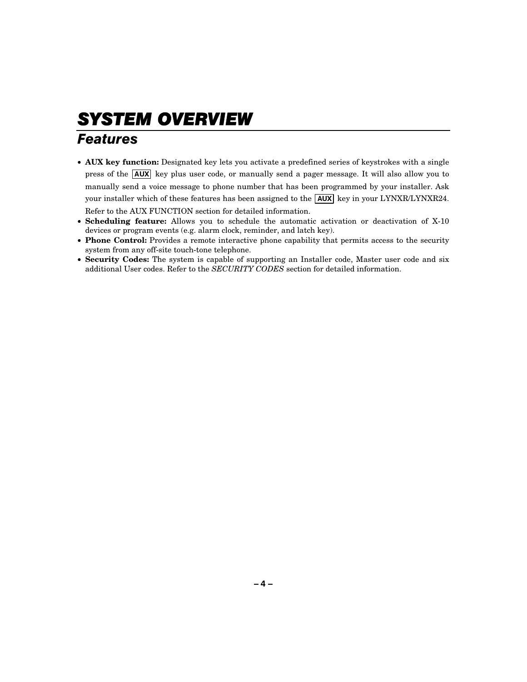## **SYSTEM OVERVIEW**

### *Features*

- **AUX key function:** Designated key lets you activate a predefined series of keystrokes with a single press of the **AUX** key plus user code, or manually send a pager message. It will also allow you to manually send a voice message to phone number that has been programmed by your installer. Ask your installer which of these features has been assigned to the  $\overline{AUX}$  key in your LYNXR/LYNXR24. Refer to the AUX FUNCTION section for detailed information.
- **Scheduling feature:** Allows you to schedule the automatic activation or deactivation of X-10 devices or program events (e.g. alarm clock, reminder, and latch key).
- **Phone Control:** Provides a remote interactive phone capability that permits access to the security system from any off-site touch-tone telephone.
- **Security Codes:** The system is capable of supporting an Installer code, Master user code and six additional User codes. Refer to the *SECURITY CODES* section for detailed information.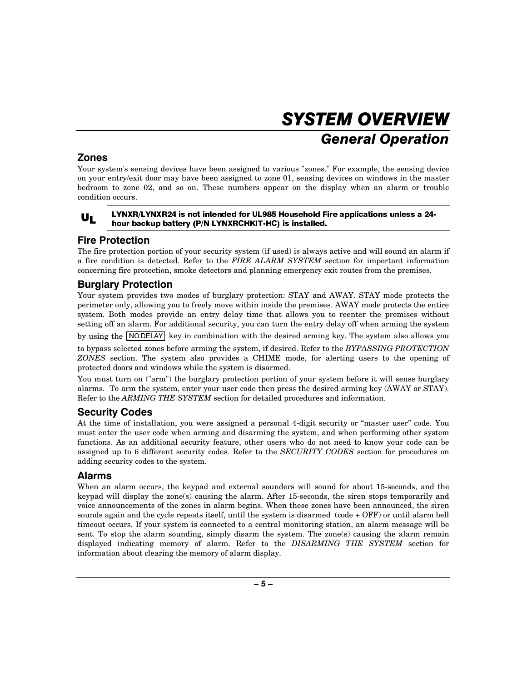## SYSTEM OVERVIEW **General Operation**

### Zones

Your system's sensing devices have been assigned to various "zones." For example, the sensing device on your entry/exit door may have been assigned to zone 01, sensing devices on windows in the master bedroom to zone 02, and so on. These numbers appear on the display when an alarm or trouble condition occurs.

### $U_L$

### LYNXR/LYNXR24 is not intended for UL985 Household Fire applications unless a 24hour backup battery (P/N LYNXRCHKIT-HC) is installed.

### **Fire Protection**

The fire protection portion of your security system (if used) is always active and will sound an alarm if a fire condition is detected. Refer to the *FIRE ALARM SYSTEM* section for important information concerning fire protection, smoke detectors and planning emergency exit routes from the premises.

### **Burglary Protection**

Your system provides two modes of burglary protection: STAY and AWAY. STAY mode protects the perimeter only, allowing you to freely move within inside the premises. AWAY mode protects the entire system. Both modes provide an entry delay time that allows you to reenter the premises without setting off an alarm. For additional security, you can turn the entry delay off when arming the system

by using the  $\overline{NO$  DELAY key in combination with the desired arming key. The system also allows you

to bypass selected zones before arming the system, if desired. Refer to the *BYPASSING PROTECTION ZONES* section. The system also provides a CHIME mode, for alerting users to the opening of protected doors and windows while the system is disarmed.

You must turn on ("arm") the burglary protection portion of your system before it will sense burglary alarms. To arm the system, enter your user code then press the desired arming key (AWAY or STAY). Refer to the *ARMING THE SYSTEM* section for detailed procedures and information.

### **Security Codes**

At the time of installation, you were assigned a personal 4-digit security or "master user" code. You must enter the user code when arming and disarming the system, and when performing other system functions. As an additional security feature, other users who do not need to know your code can be assigned up to 6 different security codes. Refer to the *SECURITY CODES* section for procedures on adding security codes to the system.

### **Alarms**

When an alarm occurs, the keypad and external sounders will sound for about 15-seconds, and the keypad will display the zone(s) causing the alarm. After 15-seconds, the siren stops temporarily and voice announcements of the zones in alarm begins. When these zones have been announced, the siren sounds again and the cycle repeats itself, until the system is disarmed (code + OFF) or until alarm bell timeout occurs. If your system is connected to a central monitoring station, an alarm message will be sent. To stop the alarm sounding, simply disarm the system. The zone(s) causing the alarm remain displayed indicating memory of alarm. Refer to the *DISARMING THE SYSTEM* section for information about clearing the memory of alarm display.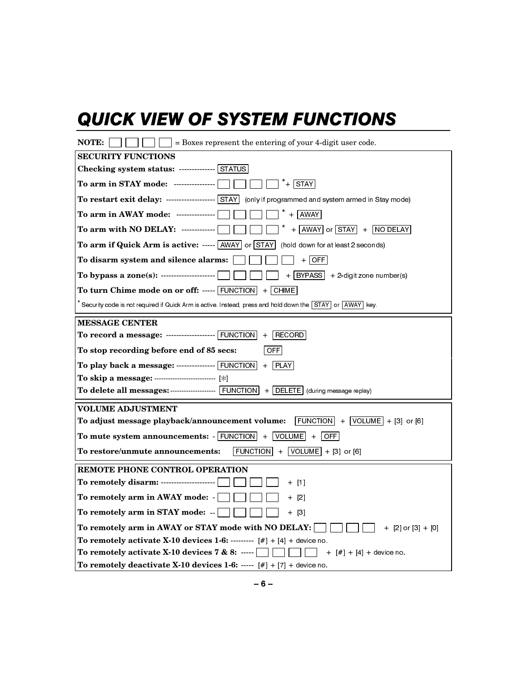## QUICK VIEW OF SYSTEM FUNCTIONS

| NOTE:<br>= Boxes represent the entering of your 4-digit user code.                                                         |
|----------------------------------------------------------------------------------------------------------------------------|
| <b>SECURITY FUNCTIONS</b>                                                                                                  |
| Checking system status: ------------- STATUS                                                                               |
| To arm in STAY mode: ----------------<br>$*$ + $STAY$                                                                      |
| To restart exit delay: ------------------- STAY (only if programmed and system armed in Stay mode)                         |
| $+$ AWAY<br>To arm in AWAY mode: ---------------                                                                           |
| To arm with NO DELAY: -------------<br>$+$ AWAY or STAY + NO DELAY                                                         |
| To arm if Quick Arm is active: ----- AWAY or STAY<br>(hold down for at least 2 seconds)                                    |
| To disarm system and silence alarms:<br>$+$ OFF                                                                            |
| To bypass a zone(s): ---------------------<br>$+$ BYPASS + 2-digit zone number(s)                                          |
| To turn Chime mode on or off: ----- $\boxed{\text{FUNCTION}}$ + $\boxed{\text{CHIME}}$                                     |
| Security code is not required if Quick Arm is active. Instead, press and hold down the STAY or AWAY key.                   |
| <b>MESSAGE CENTER</b>                                                                                                      |
| To record a message: ------------------ FUNCTION<br>RECORD<br>$+$                                                          |
| To stop recording before end of 85 secs:<br><b>OFFI</b>                                                                    |
| To play back a message: ---------------- $\boxed{\text{FUNCTION}}$ + $\boxed{\text{PLAN}}$                                 |
|                                                                                                                            |
|                                                                                                                            |
| <b>VOLUME ADJUSTMENT</b>                                                                                                   |
| $\boxed{\text{FUNCTION}} + \boxed{\text{VOLUME}} + [3] \text{ or } [6]$<br>To adjust message playback/announcement volume: |
| To mute system announcements: $\cdot$ FUNCTION + VOLUME + OFF                                                              |
| To restore/unmute announcements:<br>$ $ FUNCTION $  +  $ VOLUME $  +  3 $ or [6]                                           |
| <b>REMOTE PHONE CONTROL OPERATION</b>                                                                                      |
| To remotely disarm: ---------------------<br>$+$ [1]                                                                       |
| To remotely arm in AWAY mode: -<br>$+$ [2]                                                                                 |
| To remotely arm in STAY mode: --<br>+ [3]                                                                                  |
| To remotely arm in AWAY or STAY mode with NO DELAY:<br>$+$ [2] or [3] + [0]                                                |
| To remotely activate X-10 devices 1-6: -------- $[#] + [4] +$ device no.                                                   |
| To remotely activate X-10 devices $7 & 8: \cdots$<br>+ [#] + [4] + device no.                                              |
| To remotely deactivate X-10 devices 1-6: ----- $[#] + [7] +$ device no.                                                    |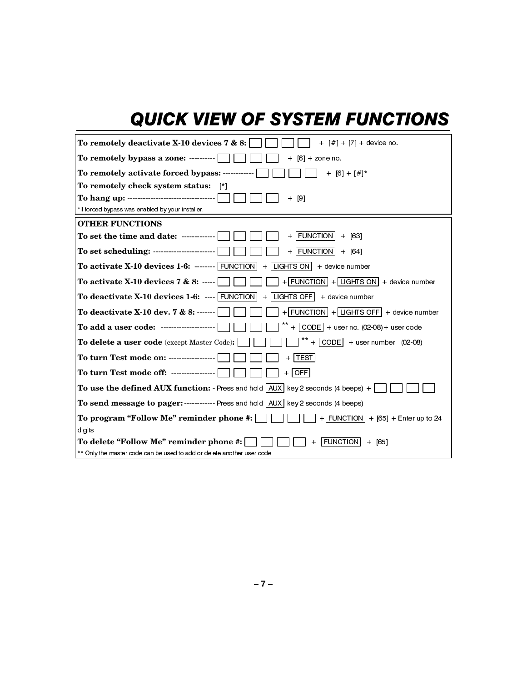## QUICK VIEW OF SYSTEM FUNCTIONS

| To remotely deactivate X-10 devices 7 & 8:<br>+ $[#]$ + $[7]$ + device no                                                                                                                                                                                                                                      |
|----------------------------------------------------------------------------------------------------------------------------------------------------------------------------------------------------------------------------------------------------------------------------------------------------------------|
| To remotely bypass a zone: ----------<br>$+$ [6] $+$ zone no.                                                                                                                                                                                                                                                  |
| To remotely activate forced bypass: ------------<br>$+$ [6] $+$ [#]*                                                                                                                                                                                                                                           |
| To remotely check system status:<br>- [*]                                                                                                                                                                                                                                                                      |
| To hang up: ----------------------------------<br>[9]<br>$+$                                                                                                                                                                                                                                                   |
| *If forced bypass was enabled by your installer.                                                                                                                                                                                                                                                               |
| <b>OTHER FUNCTIONS</b>                                                                                                                                                                                                                                                                                         |
| To set the time and date: ------------<br>$FUNCTION$ + [63]<br>$+$                                                                                                                                                                                                                                             |
| $+$ FUNCTION + [64]                                                                                                                                                                                                                                                                                            |
| <b>To activate X-10 devices 1-6:</b> $\frac{1}{2}$ $\frac{1}{2}$ $\frac{1}{2}$ $\frac{1}{2}$ $\frac{1}{2}$ $\frac{1}{2}$ $\frac{1}{2}$ $\frac{1}{2}$ $\frac{1}{2}$ $\frac{1}{2}$ $\frac{1}{2}$ $\frac{1}{2}$ $\frac{1}{2}$ $\frac{1}{2}$ $\frac{1}{2}$ $\frac{1}{2}$ $\frac{1}{2}$ $\frac{1}{2}$ $\frac{1}{2}$ |
| To activate X-10 devices 7 & 8: -----  <br>$+$ FUNCTION $ $ + LIGHTS ON $ $ + device number                                                                                                                                                                                                                    |
| To deactivate $X-10$ devices $1-6$ : ---- FUNCTION<br>$+$ LIGHTS OFF $+$ device number                                                                                                                                                                                                                         |
| To deactivate X-10 dev. 7 & 8: ------<br>$+$ FUNCTION $ $ + LIGHTS OFF $ $ + device number                                                                                                                                                                                                                     |
| $+$ CODE + user no. (02-08) + user code<br>To add a user code: ---------------------                                                                                                                                                                                                                           |
| $+$ CODE + user number (02-08)<br><b>To delete a user code</b> (except Master Code):                                                                                                                                                                                                                           |
| To turn Test mode on: ------------------<br><b>TEST</b><br>$+$                                                                                                                                                                                                                                                 |
| To turn Test mode off: ----------------- <br>$+$ $\vert$ OFF $\vert$                                                                                                                                                                                                                                           |
| <b>To use the defined AUX function:</b> - Press and hold $ AUX $ key 2 seconds (4 beeps) +                                                                                                                                                                                                                     |
| To send message to pager: ------------ Press and hold AUX key 2 seconds (4 beeps)                                                                                                                                                                                                                              |
| $+$ FUNCTION + [65] + Enter up to 24<br>To program "Follow Me" reminder phone #:                                                                                                                                                                                                                               |
| digits                                                                                                                                                                                                                                                                                                         |
| To delete "Follow Me" reminder phone #:<br><b>FUNCTION</b><br>$+$ [65]                                                                                                                                                                                                                                         |
| ** Only the master code can be used to add or delete another user code                                                                                                                                                                                                                                         |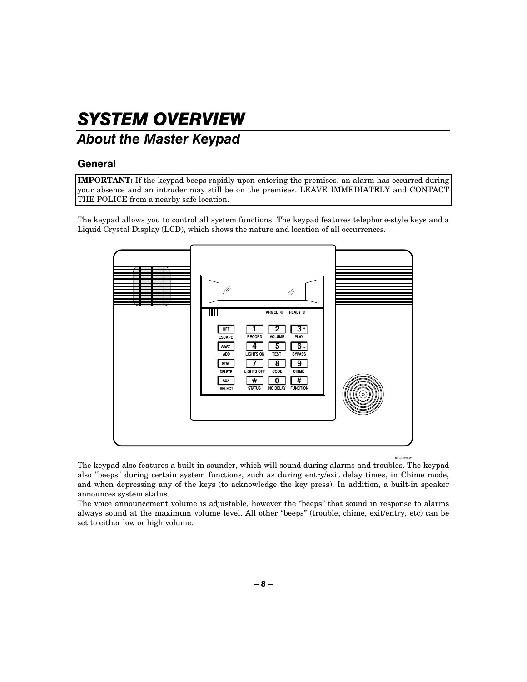## SYSTEM OVERVIEW

### About the Master Keypad

### General

**IMPORTANT:** If the keypad beeps rapidly upon entering the premises, an alarm has occurred during your absence and an intruder may still be on the premises. LEAVE IMMEDIATELY and CONTACT THE POLICE from a nearby safe location.

The keypad allows you to control all system functions. The keypad features telephone-style keys and a Liquid Crystal Display (LCD), which shows the nature and location of all occurrences.



The keypad also features a built-in sounder, which will sound during alarms and troubles. The keypad also "beeps" during certain system functions, such as during entry/exit delay times, in Chime mode, and when depressing any of the keys (to acknowledge the key press). In addition, a built-in speaker announces system status.

The voice announcement volume is adjustable, however the "beeps" that sound in response to alarms always sound at the maximum volume level. All other "beeps" (trouble, chime, exit/entry, etc) can be set to either low or high volume.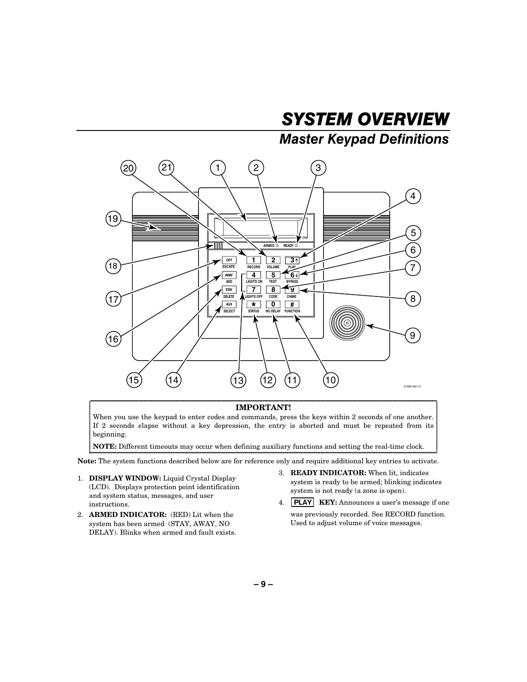## SYSTEM OVERVIEW

### **Master Keypad Definitions**



#### **IMPORTANT!**

When you use the keypad to enter codes and commands, press the keys within 2 seconds of one another. If 2 seconds elapse without a key depression, the entry is aborted and must be repeated from its beginning.

**NOTE:** Different timeouts may occur when defining auxiliary functions and setting the real-time clock.

**Note:** The system functions described below are for reference only and require additional key entries to activate.

- 1. **DISPLAY WINDOW:** Liquid Crystal Display (LCD). Displays protection point identification and system status, messages, and user instructions.
- 2. **ARMED INDICATOR:** (RED) Lit when the system has been armed (STAY, AWAY, NO DELAY). Blinks when armed and fault exists.
- 3. **READY INDICATOR:** When lit, indicates system is ready to be armed; blinking indicates system is not ready (a zone is open).
- 4. **PLAY KEY:** Announces a user's message if one was previously recorded. See RECORD function. Used to adjust volume of voice messages.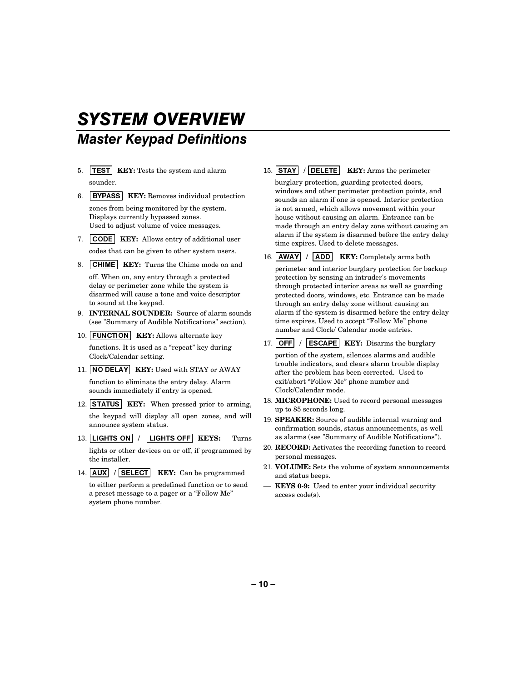## **SYSTEM OVERVIEW Master Keypad Definitions**

- 5. **TEST KEY:** Tests the system and alarm sounder.
- 6. **BYPASS KEY:** Removes individual protection zones from being monitored by the system. Displays currently bypassed zones. Used to adjust volume of voice messages.
- 7. CODE KEY: Allows entry of additional user codes that can be given to other system users.

8. **CHIME** KEY: Turns the Chime mode on and

off. When on, any entry through a protected delay or perimeter zone while the system is disarmed will cause a tone and voice descriptor to sound at the keypad.

- 9. **INTERNAL SOUNDER:** Source of alarm sounds (see "Summary of Audible Notifications" section).
- 10. **FUNCTION KEY:** Allows alternate key

functions. It is used as a "repeat" key during Clock/Calendar setting.

- 11. NO DELAY KEY: Used with STAY or AWAY function to eliminate the entry delay. Alarm sounds immediately if entry is opened.
- 12. **STATUS KEY:** When pressed prior to arming, the keypad will display all open zones, and will announce system status.
- 13. | LIGHTS ON | / | LIGHTS OFF | KEYS: Turns lights or other devices on or off, if programmed by the installer.
- 14. **AUX** / **SELECT KEY:** Can be programmed to either perform a predefined function or to send a preset message to a pager or a "Follow Me" system phone number.
- 15. **STAY** / **DELETE KEY:** Arms the perimeter burglary protection, guarding protected doors, windows and other perimeter protection points, and sounds an alarm if one is opened. Interior protection is not armed, which allows movement within your house without causing an alarm. Entrance can be made through an entry delay zone without causing an alarm if the system is disarmed before the entry delay time expires. Used to delete messages.
- 16. **AWAY** / **ADD KEY:** Completely arms both perimeter and interior burglary protection for backup protection by sensing an intruder's movements through protected interior areas as well as guarding protected doors, windows, etc. Entrance can be made through an entry delay zone without causing an alarm if the system is disarmed before the entry delay time expires. Used to accept "Follow Me" phone number and Clock/ Calendar mode entries.
- 17. **OFF** / **ESCAPE KEY:** Disarms the burglary

portion of the system, silences alarms and audible trouble indicators, and clears alarm trouble display after the problem has been corrected. Used to exit/abort "Follow Me" phone number and Clock/Calendar mode.

- 18. **MICROPHONE:** Used to record personal messages up to 85 seconds long.
- 19. **SPEAKER:** Source of audible internal warning and confirmation sounds, status announcements, as well as alarms (see "Summary of Audible Notifications").
- 20. **RECORD:** Activates the recording function to record personal messages.
- 21. **VOLUME:** Sets the volume of system announcements and status beeps.
- –– **KEYS 0-9:** Used to enter your individual security access code(s).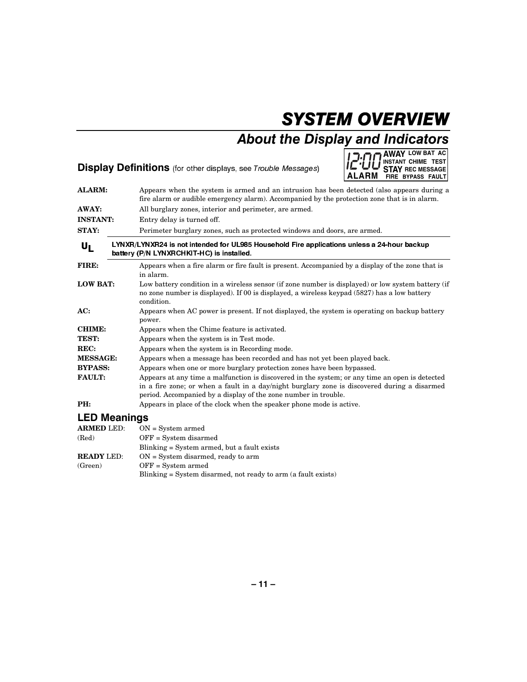## SYSTEM OVERVIEW

## About the Display and Indicators

### Display Definitions (for other displays, see Trouble Messages)



| <b>ALARM:</b>       | Appears when the system is armed and an intrusion has been detected (also appears during a<br>fire alarm or audible emergency alarm). Accompanied by the protection zone that is in alarm.                                                                        |
|---------------------|-------------------------------------------------------------------------------------------------------------------------------------------------------------------------------------------------------------------------------------------------------------------|
| <b>AWAY:</b>        | All burglary zones, interior and perimeter, are armed.                                                                                                                                                                                                            |
| <b>INSTANT:</b>     | Entry delay is turned off.                                                                                                                                                                                                                                        |
| <b>STAY:</b>        | Perimeter burglary zones, such as protected windows and doors, are armed.                                                                                                                                                                                         |
| UL                  | LYNXR/LYNXR24 is not intended for UL985 Household Fire applications unless a 24-hour backup<br>battery (P/N LYNXRCHKIT-HC) is installed.                                                                                                                          |
| FIRE:               | Appears when a fire alarm or fire fault is present. Accompanied by a display of the zone that is<br>in alarm.                                                                                                                                                     |
| <b>LOW BAT:</b>     | Low battery condition in a wireless sensor (if zone number is displayed) or low system battery (if<br>no zone number is displayed). If 00 is displayed, a wireless keypad (5827) has a low battery<br>condition.                                                  |
| AC:                 | Appears when AC power is present. If not displayed, the system is operating on backup battery<br>power.                                                                                                                                                           |
| <b>CHIME:</b>       | Appears when the Chime feature is activated.                                                                                                                                                                                                                      |
| TEST:               | Appears when the system is in Test mode.                                                                                                                                                                                                                          |
| REC:                | Appears when the system is in Recording mode.                                                                                                                                                                                                                     |
| <b>MESSAGE:</b>     | Appears when a message has been recorded and has not yet been played back.                                                                                                                                                                                        |
| <b>BYPASS:</b>      | Appears when one or more burglary protection zones have been bypassed.                                                                                                                                                                                            |
| <b>FAULT:</b>       | Appears at any time a malfunction is discovered in the system; or any time an open is detected<br>in a fire zone; or when a fault in a day/night burglary zone is discovered during a disarmed<br>period. Accompanied by a display of the zone number in trouble. |
| PH:                 | Appears in place of the clock when the speaker phone mode is active.                                                                                                                                                                                              |
| <b>LED Meanings</b> |                                                                                                                                                                                                                                                                   |
| <b>ARMED LED:</b>   | $ON = System\,$                                                                                                                                                                                                                                                   |
| (Red)               | $OFF = System$ disarmed                                                                                                                                                                                                                                           |
|                     | Blinking = System armed, but a fault exists                                                                                                                                                                                                                       |
| <b>READY LED:</b>   | $ON = System$ disarmed, ready to arm                                                                                                                                                                                                                              |

 $\textbf{(Green)} \qquad \qquad \textbf{OFF} = \textbf{System} \text{ armed}$ 

Blinking = System disarmed, not ready to arm (a fault exists)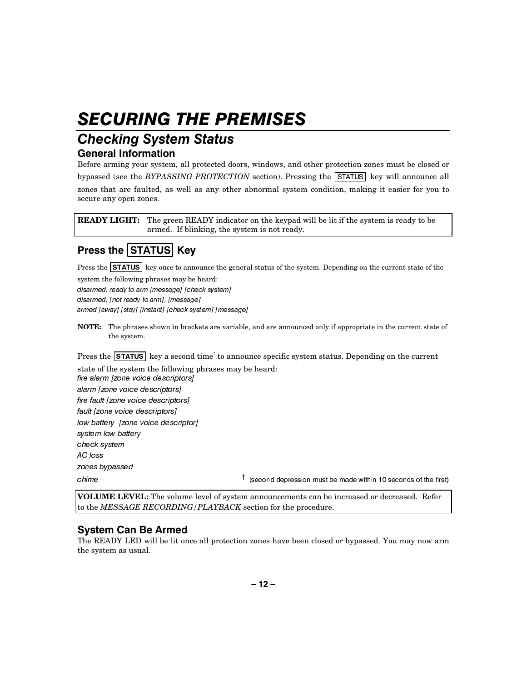## **SECURING THE PREMISES**

### **Checking System Status General Information**

Before arming your system, all protected doors, windows, and other protection zones must be closed or bypassed (see the *BYPASSING PROTECTION* section). Pressing the  $\boxed{\text{STATUS}}$  key will announce all zones that are faulted, as well as any other abnormal system condition, making it easier for you to secure any open zones.

**READY LIGHT:** The green READY indicator on the keypad will be lit if the system is ready to be armed. If blinking, the system is not ready.

### Press the  $|\textsf{STATUS}|$  Key

Press the **STATUS** key once to announce the general status of the system. Depending on the current state of the system the following phrases may be heard:

disarmed, ready to arm [message] [check system]

disarmed, [not ready to arm], [message]

armed [away] [stay] [instant] [check system] [message]

**NOTE:** The phrases shown in brackets are variable, and are announced only if appropriate in the current state of the system.

Press the  $\overline{\text{STATUS}}$  key a second time<sup>†</sup> to announce specific system status. Depending on the current state of the system the following phrases may be heard:

fire alarm [zone voice descriptors] alarm [zone voice descriptors] fire fault [zone voice descriptors] fault [zone voice descriptors] low battery [zone voice descriptor] system low battery check system AC loss zones bypassed FRUME Chime Chime **Channel Channel Channel Chime** (second depression must be made within 10 seconds of the first)

**VOLUME LEVEL:** The volume level of system announcements can be increased or decreased. Refer to the *MESSAGE RECORDING/PLAYBACK* section for the procedure.

### **System Can Be Armed**

The READY LED will be lit once all protection zones have been closed or bypassed. You may now arm the system as usual.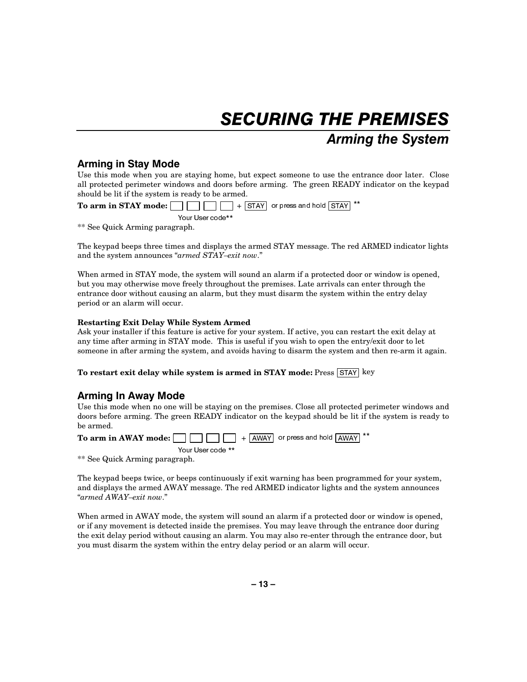## **SECURING THE PREMISES Arming the System**

### **Arming in Stay Mode**

Use this mode when you are staying home, but expect someone to use the entrance door later. Close all protected perimeter windows and doors before arming. The green READY indicator on the keypad should be lit if the system is ready to be armed.

**To arm in STAY mode:** 67\$< RU SUHVV DQG KROG 67\$< Your User code\*\*

\*\* See Quick Arming paragraph.

The keypad beeps three times and displays the armed STAY message. The red ARMED indicator lights and the system announces "*armed STAY–exit now*."

When armed in STAY mode, the system will sound an alarm if a protected door or window is opened, but you may otherwise move freely throughout the premises. Late arrivals can enter through the entrance door without causing an alarm, but they must disarm the system within the entry delay period or an alarm will occur.

### **Restarting Exit Delay While System Armed**

Ask your installer if this feature is active for your system. If active, you can restart the exit delay at any time after arming in STAY mode. This is useful if you wish to open the entry/exit door to let someone in after arming the system, and avoids having to disarm the system and then re-arm it again.

**To restart exit delay while system is armed in STAY mode:** Press  $\boxed{\text{STAT}}$  key

### Arming In Away Mode

Use this mode when no one will be staying on the premises. Close all protected perimeter windows and doors before arming. The green READY indicator on the keypad should be lit if the system is ready to be armed.

**To arm in AWAY mode:** \$:\$< RU SUHVV DQG KROG \$:\$< Your User code \*\*

\*\* See Quick Arming paragraph.

The keypad beeps twice, or beeps continuously if exit warning has been programmed for your system, and displays the armed AWAY message. The red ARMED indicator lights and the system announces "*armed AWAY–exit now*."

When armed in AWAY mode, the system will sound an alarm if a protected door or window is opened, or if any movement is detected inside the premises. You may leave through the entrance door during the exit delay period without causing an alarm. You may also re-enter through the entrance door, but you must disarm the system within the entry delay period or an alarm will occur.

**– 13 –**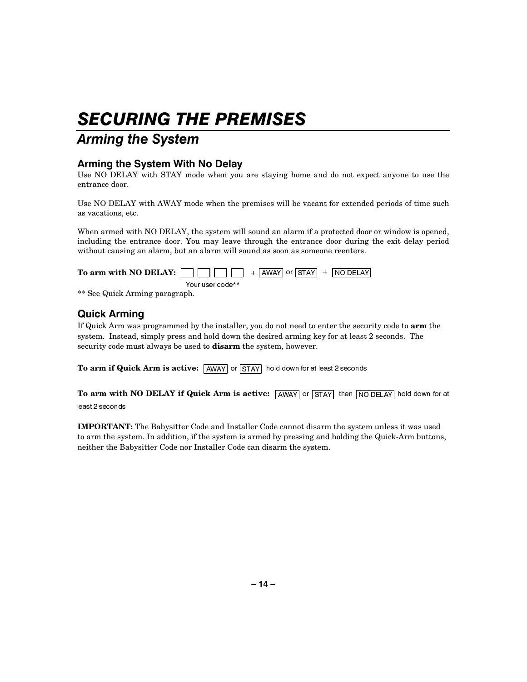## **SECURING THE PREMISES**

### **Arming the System**

### Arming the System With No Delay

Use NO DELAY with STAY mode when you are staying home and do not expect anyone to use the entrance door.

Use NO DELAY with AWAY mode when the premises will be vacant for extended periods of time such as vacations, etc.

When armed with NO DELAY, the system will sound an alarm if a protected door or window is opened, including the entrance door. You may leave through the entrance door during the exit delay period without causing an alarm, but an alarm will sound as soon as someone reenters.

| To arm with NO DELAY: $\vert$ |                  | $\begin{bmatrix} 1 & 1 \\ 1 & 1 \end{bmatrix}$ + $\begin{bmatrix} \text{AWAY} & \text{or} & \text{STAY} \\ \text{or} & \text{STAY} & \text{or} & \text{INO} \end{bmatrix}$ |  |
|-------------------------------|------------------|----------------------------------------------------------------------------------------------------------------------------------------------------------------------------|--|
|                               | Your user code** |                                                                                                                                                                            |  |

\*\* See Quick Arming paragraph.

### **Quick Arming**

If Quick Arm was programmed by the installer, you do not need to enter the security code to **arm** the system. Instead, simply press and hold down the desired arming key for at least 2 seconds. The security code must always be used to **disarm** the system, however.

To arm if Quick Arm is active:  $\sqrt{\text{AWAY}}$  or  $\sqrt{\text{STAY}}$  hold down for at least 2 seconds

To arm with NO DELAY if Quick Arm is active:  $\sqrt{24MAY}$  or  $\sqrt{31AY}$  then  $\sqrt{N}$  DELAY hold down for at least 2 seconds

**IMPORTANT:** The Babysitter Code and Installer Code cannot disarm the system unless it was used to arm the system. In addition, if the system is armed by pressing and holding the Quick-Arm buttons, neither the Babysitter Code nor Installer Code can disarm the system.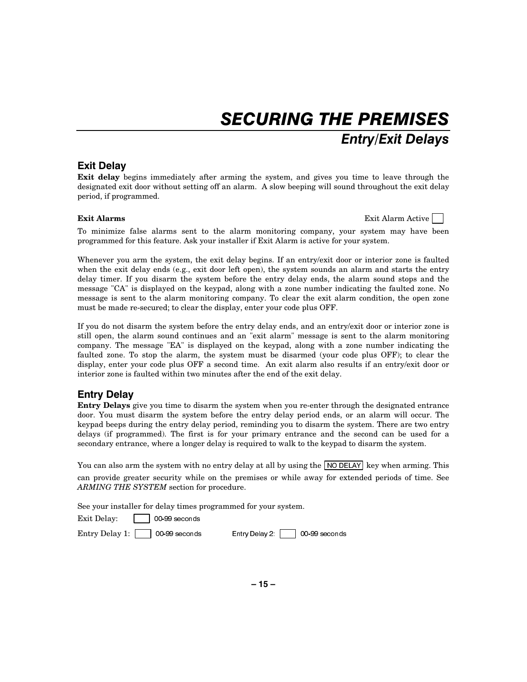## **SECURING THE PREMISES** Entry/Exit Delays

### **Exit Delay**

**Exit delay** begins immediately after arming the system, and gives you time to leave through the designated exit door without setting off an alarm. A slow beeping will sound throughout the exit delay period, if programmed.

**Exit Alarms Exit Alarm** Active **Exit Alarm** Active **Exit Alarm** Active **Exit Alarm** Active

To minimize false alarms sent to the alarm monitoring company, your system may have been programmed for this feature. Ask your installer if Exit Alarm is active for your system.

Whenever you arm the system, the exit delay begins. If an entry/exit door or interior zone is faulted when the exit delay ends (e.g., exit door left open), the system sounds an alarm and starts the entry delay timer. If you disarm the system before the entry delay ends, the alarm sound stops and the message "CA" is displayed on the keypad, along with a zone number indicating the faulted zone. No message is sent to the alarm monitoring company. To clear the exit alarm condition, the open zone must be made re-secured; to clear the display, enter your code plus OFF.

If you do not disarm the system before the entry delay ends, and an entry/exit door or interior zone is still open, the alarm sound continues and an "exit alarm" message is sent to the alarm monitoring company. The message "EA" is displayed on the keypad, along with a zone number indicating the faulted zone. To stop the alarm, the system must be disarmed (your code plus OFF); to clear the display, enter your code plus OFF a second time. An exit alarm also results if an entry/exit door or interior zone is faulted within two minutes after the end of the exit delay.

### **Entry Delay**

**Entry Delays** give you time to disarm the system when you re-enter through the designated entrance door. You must disarm the system before the entry delay period ends, or an alarm will occur. The keypad beeps during the entry delay period, reminding you to disarm the system. There are two entry delays (if programmed). The first is for your primary entrance and the second can be used for a secondary entrance, where a longer delay is required to walk to the keypad to disarm the system.

You can also arm the system with no entry delay at all by using the  $\sqrt{18}$  NO DELAY key when arming. This can provide greater security while on the premises or while away for extended periods of time. See *ARMING THE SYSTEM* section for procedure.

See your installer for delay times programmed for your system.

 $Exit$  Delay:  $\Box$  00-99 seconds

Entry Delay 1:  $\Box$  00-99 seconds Entry Delay 2:  $\Box$  00-99 seconds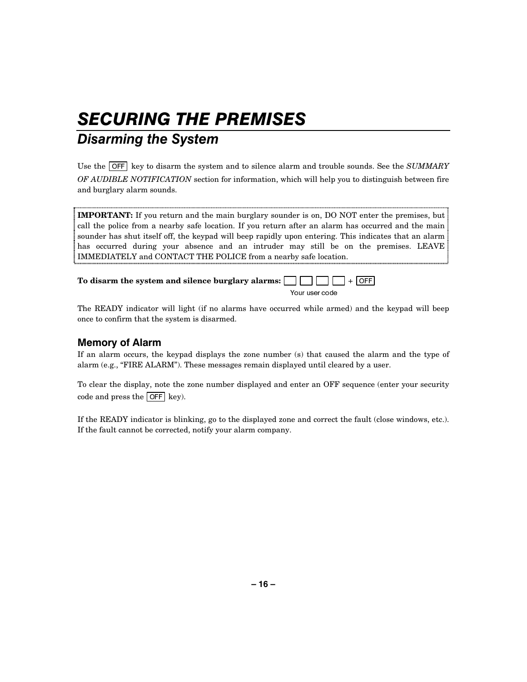## **SECURING THE PREMISES**

## **Disarming the System**

Use the  $\overline{OFF}$  key to disarm the system and to silence alarm and trouble sounds. See the *SUMMARY OF AUDIBLE NOTIFICATION* section for information, which will help you to distinguish between fire and burglary alarm sounds.

**IMPORTANT:** If you return and the main burglary sounder is on, DO NOT enter the premises, but call the police from a nearby safe location. If you return after an alarm has occurred and the main sounder has shut itself off, the keypad will beep rapidly upon entering. This indicates that an alarm has occurred during your absence and an intruder may still be on the premises. LEAVE IMMEDIATELY and CONTACT THE POLICE from a nearby safe location.

**To disarm the system and silence burglary alarms:**  2))

Your user code

The READY indicator will light (if no alarms have occurred while armed) and the keypad will beep once to confirm that the system is disarmed.

### **Memory of Alarm**

If an alarm occurs, the keypad displays the zone number (s) that caused the alarm and the type of alarm (e.g., "FIRE ALARM"). These messages remain displayed until cleared by a user.

To clear the display, note the zone number displayed and enter an OFF sequence (enter your security code and press the  $\overline{OFF}$  key).

If the READY indicator is blinking, go to the displayed zone and correct the fault (close windows, etc.). If the fault cannot be corrected, notify your alarm company.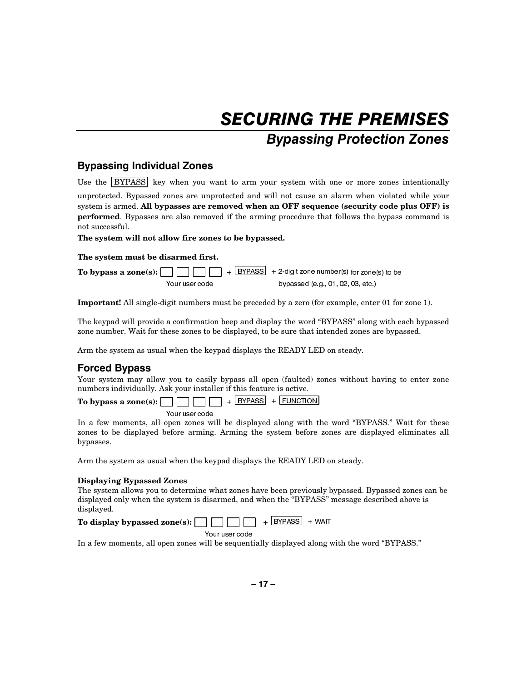## **SECURING THE PREMISES Bypassing Protection Zones**

### **Bypassing Individual Zones**

Use the  $BYPASS$  key when you want to arm your system with one or more zones intentionally

unprotected. Bypassed zones are unprotected and will not cause an alarm when violated while your system is armed. **All bypasses are removed when an OFF sequence (security code plus OFF) is performed**. Bypasses are also removed if the arming procedure that follows the bypass command is not successful.

**The system will not allow fire zones to be bypassed.** 

#### **The system must be disarmed first.**

|                | <b>To bypass a zone(s):</b> $\Box$ $\Box$ $\Box$ + $\Box$ $\Box$ + $\Box$ $\Box$ + $\Box$ 2-digit zone number(s) for zone(s) to be |
|----------------|------------------------------------------------------------------------------------------------------------------------------------|
| Your user code | bypassed (e.g., 01, 02, 03, etc.)                                                                                                  |

**Important!** All single-digit numbers must be preceded by a zero (for example, enter 01 for zone 1).

The keypad will provide a confirmation beep and display the word "BYPASS" along with each bypassed zone number. Wait for these zones to be displayed, to be sure that intended zones are bypassed.

Arm the system as usual when the keypad displays the READY LED on steady.

### **Forced Bypass**

Your system may allow you to easily bypass all open (faulted) zones without having to enter zone numbers individually. Ask your installer if this feature is active.

**To bypass a zone(s):**  $\Box$   $\Box$   $\Box$   $\Box$   $+$  **EYPASS** + **FUNCTION** Your user code

In a few moments, all open zones will be displayed along with the word "BYPASS." Wait for these zones to be displayed before arming. Arming the system before zones are displayed eliminates all bypasses.

Arm the system as usual when the keypad displays the READY LED on steady.

### **Displaying Bypassed Zones**

The system allows you to determine what zones have been previously bypassed. Bypassed zones can be displayed only when the system is disarmed, and when the "BYPASS" message described above is displayed.

| <b>To display bypassed zone(s):</b> $\Box$ $\Box$ $\Box$ + <b>BYPASS</b> + WAIT |  |  |  |  |  |
|---------------------------------------------------------------------------------|--|--|--|--|--|
|---------------------------------------------------------------------------------|--|--|--|--|--|

Your user code

In a few moments, all open zones will be sequentially displayed along with the word "BYPASS."

**– 17 –**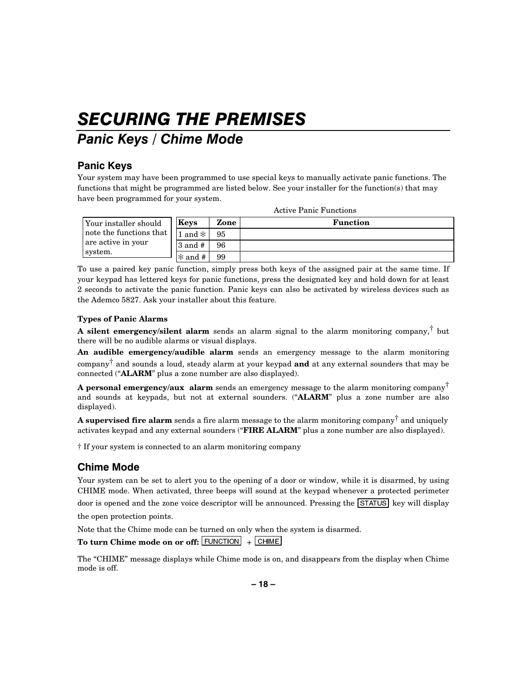## **SECURING THE PREMISES**

### Panic Keys / Chime Mode

### Panic Keys

Your system may have been programmed to use special keys to manually activate panic functions. The functions that might be programmed are listed below. See your installer for the function(s) that may have been programmed for your system.

| Your installer should   | Keys          | Zone | <b>Function</b> |
|-------------------------|---------------|------|-----------------|
| note the functions that | $ 1$ and $* $ | 95   |                 |
| are active in your      | $3$ and $#$   | 96   |                 |
| system.                 | $\ast$ and #  | 99   |                 |

Active Panic Functions

To use a paired key panic function, simply press both keys of the assigned pair at the same time. If your keypad has lettered keys for panic functions, press the designated key and hold down for at least 2 seconds to activate the panic function. Panic keys can also be activated by wireless devices such as the Ademco 5827. Ask your installer about this feature.

### **Types of Panic Alarms**

**A silent emergency/silent alarm** sends an alarm signal to the alarm monitoring company,† but there will be no audible alarms or visual displays.

**An audible emergency/audible alarm** sends an emergency message to the alarm monitoring company† and sounds a loud, steady alarm at your keypad **and** at any external sounders that may be connected ("**ALARM**" plus a zone number are also displayed).

**A personal emergency/aux alarm** sends an emergency message to the alarm monitoring company† and sounds at keypads, but not at external sounders. ("**ALARM**" plus a zone number are also displayed).

**A supervised fire alarm** sends a fire alarm message to the alarm monitoring company† and uniquely activates keypad and any external sounders ("**FIRE ALARM**" plus a zone number are also displayed).

† If your system is connected to an alarm monitoring company

### **Chime Mode**

Your system can be set to alert you to the opening of a door or window, while it is disarmed, by using CHIME mode. When activated, three beeps will sound at the keypad whenever a protected perimeter door is opened and the zone voice descriptor will be announced. Pressing the  $\boxed{\text{STATUS}}$  key will display

the open protection points.

Note that the Chime mode can be turned on only when the system is disarmed.

To turn Chime mode on or off: **FUNCTION** + CHIME

The "CHIME" message displays while Chime mode is on, and disappears from the display when Chime mode is off.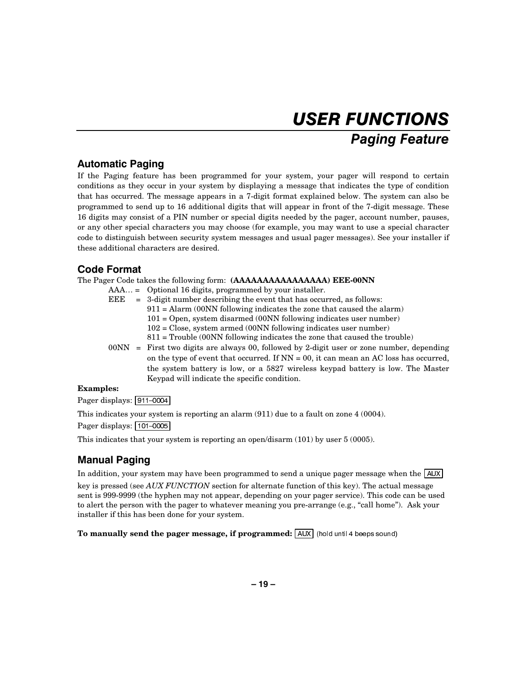## **USER FUNCTIONS Paging Feature**

### **Automatic Paging**

If the Paging feature has been programmed for your system, your pager will respond to certain conditions as they occur in your system by displaying a message that indicates the type of condition that has occurred. The message appears in a 7-digit format explained below. The system can also be programmed to send up to 16 additional digits that will appear in front of the 7-digit message. These 16 digits may consist of a PIN number or special digits needed by the pager, account number, pauses, or any other special characters you may choose (for example, you may want to use a special character code to distinguish between security system messages and usual pager messages). See your installer if these additional characters are desired.

### **Code Format**

The Pager Code takes the following form: **(AAAAAAAAAAAAAAAA) EEE-00NN** 

AAA… = Optional 16 digits, programmed by your installer.

| EEE | $=$ 3-digit number describing the event that has occurred, as follows:      |
|-----|-----------------------------------------------------------------------------|
|     | $911 =$ Alarm (00NN following indicates the zone that caused the alarm)     |
|     | $101 =$ Open, system disarmed (00NN following indicates user number)        |
|     | $102$ = Close, system armed (00NN following indicates user number)          |
|     | $811$ = Trouble (00NN following indicates the zone that caused the trouble) |
|     |                                                                             |

00NN = First two digits are always 00, followed by 2-digit user or zone number, depending on the type of event that occurred. If  $NN = 00$ , it can mean an AC loss has occurred, the system battery is low, or a 5827 wireless keypad battery is low. The Master Keypad will indicate the specific condition.

### **Examples:**

Pager displays:  $\sqrt{911-0004}$ 

This indicates your system is reporting an alarm (911) due to a fault on zone 4 (0004).

Pager displays: 101-0005

This indicates that your system is reporting an open/disarm (101) by user 5 (0005).

### **Manual Paging**

In addition, your system may have been programmed to send a unique pager message when the  $\sqrt{\text{AUX}}$ 

key is pressed (see *AUX FUNCTION* section for alternate function of this key). The actual message sent is 999-9999 (the hyphen may not appear, depending on your pager service). This code can be used to alert the person with the pager to whatever meaning you pre-arrange (e.g., "call home"). Ask your installer if this has been done for your system.

**To manually send the pager message, if programmed:**  $\overline{AUX}$  (hold until 4 beeps sound)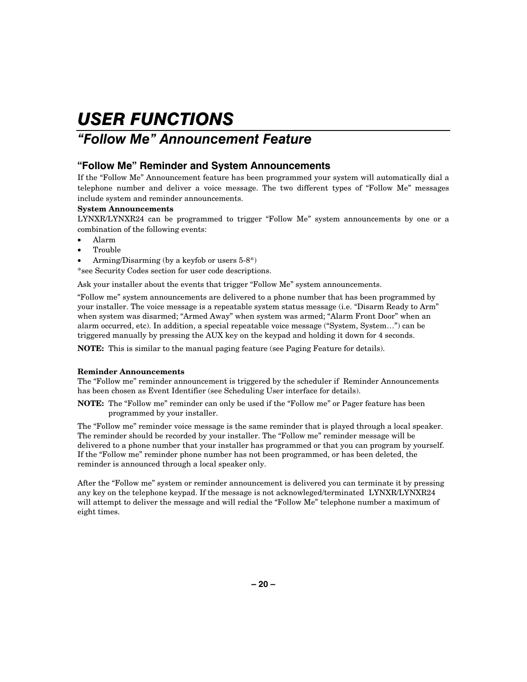### "Follow Me" Announcement Feature

### "Follow Me" Reminder and System Announcements

If the "Follow Me" Announcement feature has been programmed your system will automatically dial a telephone number and deliver a voice message. The two different types of "Follow Me" messages include system and reminder announcements.

### **System Announcements**

LYNXR/LYNXR24 can be programmed to trigger "Follow Me" system announcements by one or a combination of the following events:

- Alarm
- Trouble
- Arming/Disarming (by a keyfob or users 5-8\*)

\*see Security Codes section for user code descriptions.

Ask your installer about the events that trigger "Follow Me" system announcements.

"Follow me" system announcements are delivered to a phone number that has been programmed by your installer. The voice message is a repeatable system status message (i.e. "Disarm Ready to Arm" when system was disarmed; "Armed Away" when system was armed; "Alarm Front Door" when an alarm occurred, etc). In addition, a special repeatable voice message ("System, System…") can be triggered manually by pressing the AUX key on the keypad and holding it down for 4 seconds.

**NOTE:** This is similar to the manual paging feature (see Paging Feature for details).

### **Reminder Announcements**

The "Follow me" reminder announcement is triggered by the scheduler if Reminder Announcements has been chosen as Event Identifier (see Scheduling User interface for details).

**NOTE:** The "Follow me" reminder can only be used if the "Follow me" or Pager feature has been programmed by your installer.

The "Follow me" reminder voice message is the same reminder that is played through a local speaker. The reminder should be recorded by your installer. The "Follow me" reminder message will be delivered to a phone number that your installer has programmed or that you can program by yourself. If the "Follow me" reminder phone number has not been programmed, or has been deleted, the reminder is announced through a local speaker only.

After the "Follow me" system or reminder announcement is delivered you can terminate it by pressing any key on the telephone keypad. If the message is not acknowleged/terminated LYNXR/LYNXR24 will attempt to deliver the message and will redial the "Follow Me" telephone number a maximum of eight times.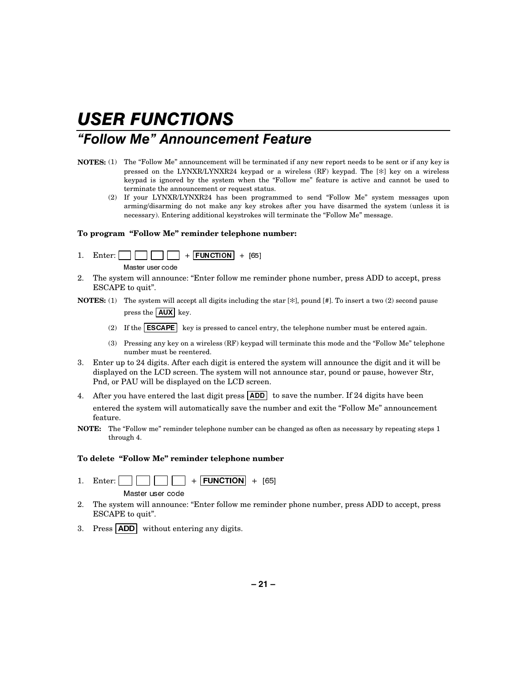### "Follow Me" Announcement Feature

- **NOTES:** (1) The "Follow Me" announcement will be terminated if any new report needs to be sent or if any key is pressed on the LYNXR/LYNXR24 keypad or a wireless (RF) keypad. The [✻] key on a wireless keypad is ignored by the system when the "Follow me" feature is active and cannot be used to terminate the announcement or request status.
	- If your LYNXR/LYNXR24 has been programmed to send "Follow Me" system messages upon arming/disarming do not make any key strokes after you have disarmed the system (unless it is necessary). Entering additional keystrokes will terminate the "Follow Me" message.

#### **To program "Follow Me" reminder telephone number:**

- 1. Enter:  $\Box$   $\Box$   $\Box$   $+$  **FUNCTION** + [65] Master user code
- 2. The system will announce: "Enter follow me reminder phone number, press ADD to accept, press ESCAPE to quit".
- **NOTES:** (1) The system will accept all digits including the star [ $\frac{1}{\epsilon}$ ], pound [#]. To insert a two (2) second pause press the  $\sqrt{\text{AUX}}$  key.
	- (2) If the  $\widehat{\text{ESCAPE}}$  key is pressed to cancel entry, the telephone number must be entered again.
	- (3) Pressing any key on a wireless (RF) keypad will terminate this mode and the "Follow Me" telephone number must be reentered.
- 3. Enter up to 24 digits. After each digit is entered the system will announce the digit and it will be displayed on the LCD screen. The system will not announce star, pound or pause, however Str, Pnd, or PAU will be displayed on the LCD screen.
- 4. After you have entered the last digit press  $\overline{ADD}$  to save the number. If 24 digits have been entered the system will automatically save the number and exit the "Follow Me" announcement feature.
- **NOTE:** The "Follow me" reminder telephone number can be changed as often as necessary by repeating steps 1 through 4.

### **To delete "Follow Me" reminder telephone number**

- 1. Enter: )81&7,21 >@ Master user code
- 2. The system will announce: "Enter follow me reminder phone number, press ADD to accept, press ESCAPE to quit".
- 3. Press  $\overline{ADD}$  without entering any digits.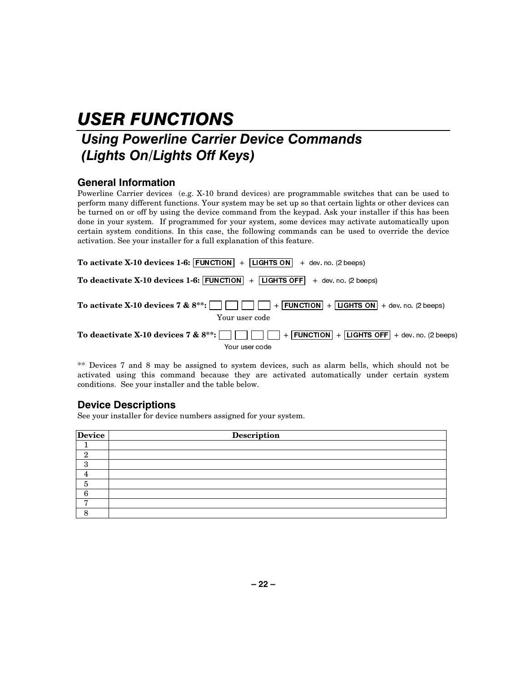## Using Powerline Carrier Device Commands (Lights On/Lights Off Keys)

### **General Information**

Powerline Carrier devices (e.g. X-10 brand devices) are programmable switches that can be used to perform many different functions. Your system may be set up so that certain lights or other devices can be turned on or off by using the device command from the keypad. Ask your installer if this has been done in your system. If programmed for your system, some devices may activate automatically upon certain system conditions. In this case, the following commands can be used to override the device activation. See your installer for a full explanation of this feature.

| To activate X-10 devices 1-6: $ $ FUNCTION $ $ + LIGHTS ON<br>+ dev no (2 beeps)                                             |
|------------------------------------------------------------------------------------------------------------------------------|
| To deactivate X-10 devices 1-6: FUNCTION $ + $ LIGHTS OFF $ +$ dev. no. (2 beeps)                                            |
| To activate X-10 devices 7 & $8^{**}:$ $            $ $      $ + FUNCTION + LIGHTS ON + dev. no. (2 beeps)<br>Your user code |
| To deactivate X-10 devices 7 & $8^{**}$ :                   FUNCTION   +   LIGHTS OFF   + dev. no. (2 beeps)                 |
| Your user code                                                                                                               |

\*\* Devices 7 and 8 may be assigned to system devices, such as alarm bells, which should not be activated using this command because they are activated automatically under certain system conditions. See your installer and the table below.

### **Device Descriptions**

See your installer for device numbers assigned for your system.

| <b>Device</b> | Description |
|---------------|-------------|
|               |             |
| ິດ            |             |
|               |             |
|               |             |
| h             |             |
| ◠             |             |
| ┍             |             |
|               |             |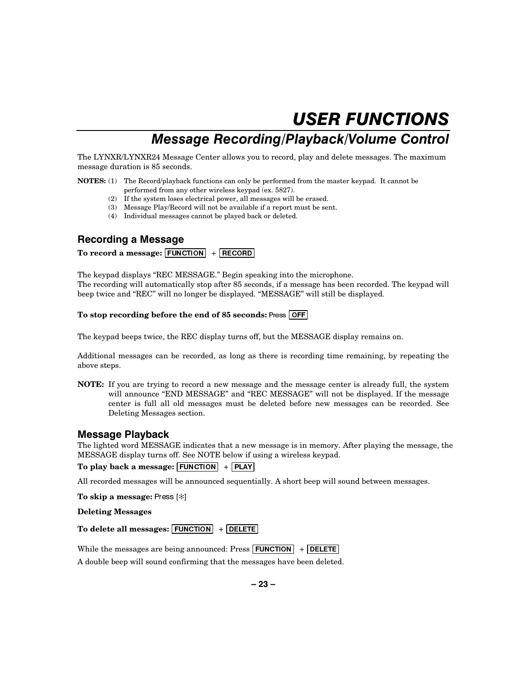## Message Recording/Playback/Volume Control

The LYNXR/LYNXR24 Message Center allows you to record, play and delete messages. The maximum message duration is 85 seconds.

**NOTES:** (1) The Record/playback functions can only be performed from the master keypad. It cannot be performed from any other wireless keypad (ex. 5827).

- (2) If the system loses electrical power, all messages will be erased.
- (3) Message Play/Record will not be available if a report must be sent.
- (4) Individual messages cannot be played back or deleted.

### **Recording a Message**

### To record a message: **FUNCTION** + **RECORD**

The keypad displays "REC MESSAGE." Begin speaking into the microphone. The recording will automatically stop after 85 seconds, if a message has been recorded. The keypad will beep twice and "REC" will no longer be displayed. "MESSAGE" will still be displayed.

### **To stop recording before the end of 85 seconds: Press OFF**

The keypad beeps twice, the REC display turns off, but the MESSAGE display remains on.

Additional messages can be recorded, as long as there is recording time remaining, by repeating the above steps.

**NOTE:** If you are trying to record a new message and the message center is already full, the system will announce "END MESSAGE" and "REC MESSAGE" will not be displayed. If the message center is full all old messages must be deleted before new messages can be recorded. See Deleting Messages section.

### Message Playback

The lighted word MESSAGE indicates that a new message is in memory. After playing the message, the MESSAGE display turns off. See NOTE below if using a wireless keypad.

### To play back a message: **FUNCTION** + **PLAY**

All recorded messages will be announced sequentially. A short beep will sound between messages.

**To skip a message:** Press [\*]

**Deleting Messages** 

To delete all messages: **FUNCTION** + **DELETE** 

While the messages are being announced: Press  $\boxed{\mathsf{FUNCTION}}$  +  $\boxed{\mathsf{DELTE}}$ 

A double beep will sound confirming that the messages have been deleted.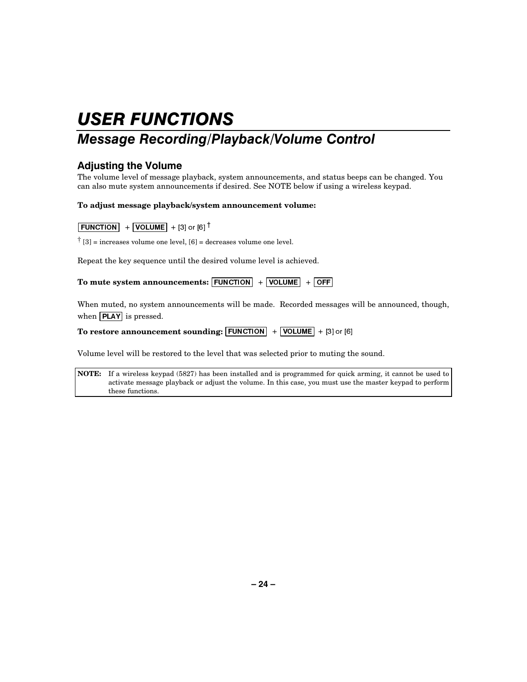## Message Recording/Playback/Volume Control

### Adjusting the Volume

The volume level of message playback, system announcements, and status beeps can be changed. You can also mute system announcements if desired. See NOTE below if using a wireless keypad.

### **To adjust message playback/system announcement volume:**

### $\boxed{\text{FUNCTION}} + \boxed{\text{VOLUME}} + [3]$  or  $[6]$ <sup>†</sup>

 $\ensuremath{\dag}$  [3] = increases volume one level, [6] = decreases volume one level.

Repeat the key sequence until the desired volume level is achieved.

To mute system announcements:  $\boxed{\text{FUNCTION}}$  +  $\boxed{\text{VOLUME}}$  +  $\boxed{\text{OFF}}$ 

When muted, no system announcements will be made. Recorded messages will be announced, though, when  $\boxed{\text{PLAY}}$  is pressed.

**To restore announcement sounding:**  $\boxed{\text{FUNCTION}}$  +  $\boxed{\text{VOLUME}}$  + [3] or [6]

Volume level will be restored to the level that was selected prior to muting the sound.

**NOTE:** If a wireless keypad (5827) has been installed and is programmed for quick arming, it cannot be used to activate message playback or adjust the volume. In this case, you must use the master keypad to perform these functions.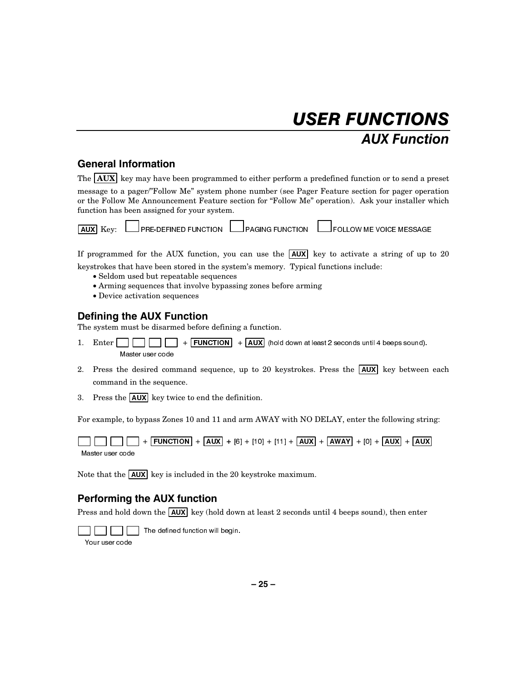## **USER FUNCTIONS AUX Function**

### **General Information**

| The $ AUX $ key may have been programmed to either perform a predefined function or to send a preset                                                                                                                                                   |
|--------------------------------------------------------------------------------------------------------------------------------------------------------------------------------------------------------------------------------------------------------|
| message to a pager/"Follow Me" system phone number (see Pager Feature section for pager operation<br>or the Follow Me Announcement Feature section for "Follow Me" operation). Ask your installer which<br>function has been assigned for vour system. |

 $\perp$ PRE-DEFINED FUNCTION  $\, \Box$ PAGING FUNCTION  $\,$  L  $\Box$  FOLLOW ME VOICE MESSAGE. **AUX** Kev:

If programmed for the AUX function, you can use the  $\overline{[AUX]}$  key to activate a string of up to 20 keystrokes that have been stored in the system's memory. Typical functions include:

- · Seldom used but repeatable sequences
- Arming sequences that involve bypassing zones before arming
- Device activation sequences

### **Defining the AUX Function**

The system must be disarmed before defining a function.

- $+$  FUNCTION  $+$  AUX (hold down at least 2 seconds until 4 beeps sound). 1. Enter  $\blacksquare$  $\Box$  $\Box$ Master user code
- 2. Press the desired command sequence, up to 20 keystrokes. Press the  $\overline{AUX}$  key between each command in the sequence.
- 3. Press the  $\boxed{\text{AUX}}$  key twice to end the definition.

For example, to bypass Zones 10 and 11 and arm AWAY with NO DELAY, enter the following string:

 $+$  FUNCTION + AUX + [6] + [10] + [11] + AUX + AWAY + [0] + AUX + AUX Master user code

Note that the  $\boxed{\text{AUX}}$  key is included in the 20 keystroke maximum.

### **Performing the AUX function**

Press and hold down the  $\overline{AUX}$  key (hold down at least 2 seconds until 4 beeps sound), then enter

The defined function will begin.

Your user code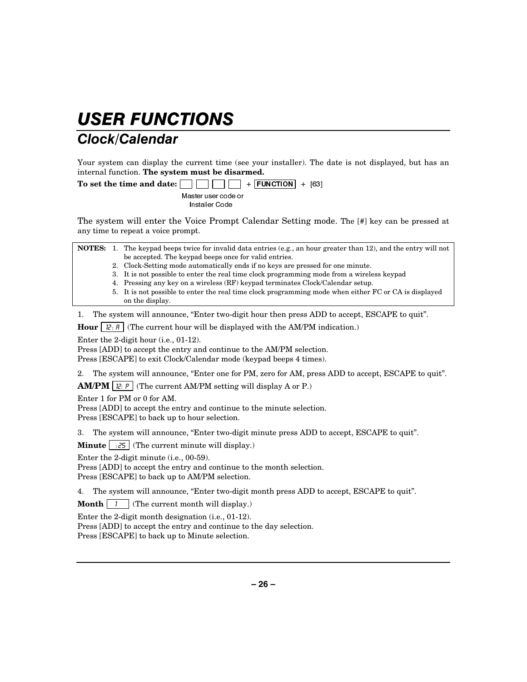## **Clock/Calendar**

Your system can display the current time (see your installer). The date is not displayed, but has an internal function. **The system must be disarmed.**

**To set the time and date:**  $\Box$   $\Box$   $\Box$   $\Box$   $\Box$   $\Box$  **FUNCTION** + [63] Master user code or Installer Code

The system will enter the Voice Prompt Calendar Setting mode. The [#] key can be pressed at any time to repeat a voice prompt.

|  | <b>NOTES:</b> 1. The keypad beeps twice for invalid data entries (e.g., an hour greater than 12), and the entry will not |
|--|--------------------------------------------------------------------------------------------------------------------------|
|  | be accepted. The keypad beeps once for valid entries.                                                                    |

- 2. Clock-Setting mode automatically ends if no keys are pressed for one minute.
- 3. It is not possible to enter the real time clock programming mode from a wireless keypad
- 4. Pressing any key on a wireless (RF) keypad terminates Clock/Calendar setup.
- 5. It is not possible to enter the real time clock programming mode when either FC or CA is displayed on the display.

1. The system will announce, "Enter two-digit hour then press ADD to accept, ESCAPE to quit".

**Hour**  $\left[\begin{array}{c} \n| \n\end{array}\right]$  (The current hour will be displayed with the AM/PM indication.)

Enter the 2-digit hour (i.e., 01-12).

Press [ADD] to accept the entry and continue to the AM/PM selection.

Press [ESCAPE] to exit Clock/Calendar mode (keypad beeps 4 times).

2. The system will announce, "Enter one for PM, zero for AM, press ADD to accept, ESCAPE to quit".

**AM/PM**  $\vert$   $\vert \ddot{e} \vert$  (The current AM/PM setting will display A or P.)

Enter 1 for PM or 0 for AM.

Press [ADD] to accept the entry and continue to the minute selection. Press [ESCAPE] to back up to hour selection.

3. The system will announce, "Enter two-digit minute press ADD to accept, ESCAPE to quit".

**Minute**  $\begin{bmatrix} .25 \end{bmatrix}$  (The current minute will display.)

Enter the 2-digit minute (i.e., 00-59).

Press [ADD] to accept the entry and continue to the month selection. Press [ESCAPE] to back up to AM/PM selection.

4. The system will announce, "Enter two-digit month press ADD to accept, ESCAPE to quit".

**Month**  $\begin{bmatrix} 1 \\ 1 \end{bmatrix}$  (The current month will display.)

Enter the 2-digit month designation (i.e., 01-12).

Press [ADD] to accept the entry and continue to the day selection. Press [ESCAPE] to back up to Minute selection.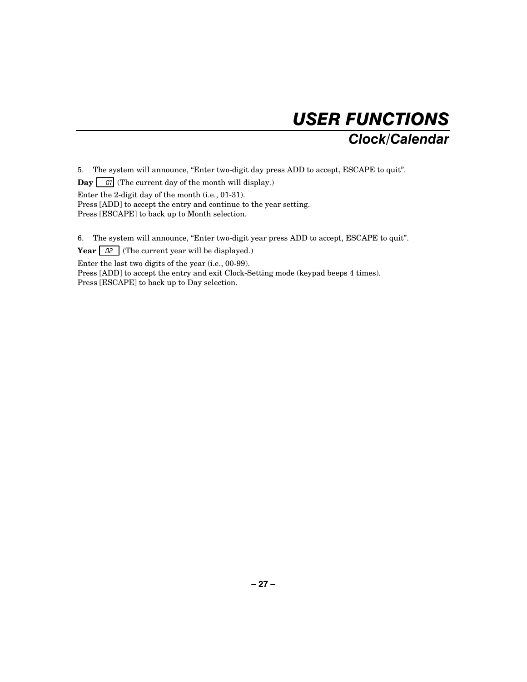

5. The system will announce, "Enter two-digit day press ADD to accept, ESCAPE to quit".

**Day**  $\boxed{\quad \text{or} \quad \text{or} \quad \text{or} \quad \text{or} \quad \text{or} \quad \text{or} \quad \text{or} \quad \text{or} \quad \text{or} \quad \text{or} \quad \text{or} \quad \text{or} \quad \text{or} \quad \text{or} \quad \text{or} \quad \text{or} \quad \text{or} \quad \text{or} \quad \text{or} \quad \text{or} \quad \text{or} \quad \text{or} \quad \text{or} \quad \text{or} \quad \text{or} \quad \text{or} \quad \text{or} \quad \text{or} \quad \text{or} \quad \text{or} \quad \$ 

Enter the 2-digit day of the month (i.e., 01-31). Press [ADD] to accept the entry and continue to the year setting.

Press [ESCAPE] to back up to Month selection.

6. The system will announce, "Enter two-digit year press ADD to accept, ESCAPE to quit".

**Year**  $\boxed{\theta^2}$  (The current year will be displayed.)

Enter the last two digits of the year (i.e., 00-99).

Press [ADD] to accept the entry and exit Clock-Setting mode (keypad beeps 4 times). Press [ESCAPE] to back up to Day selection.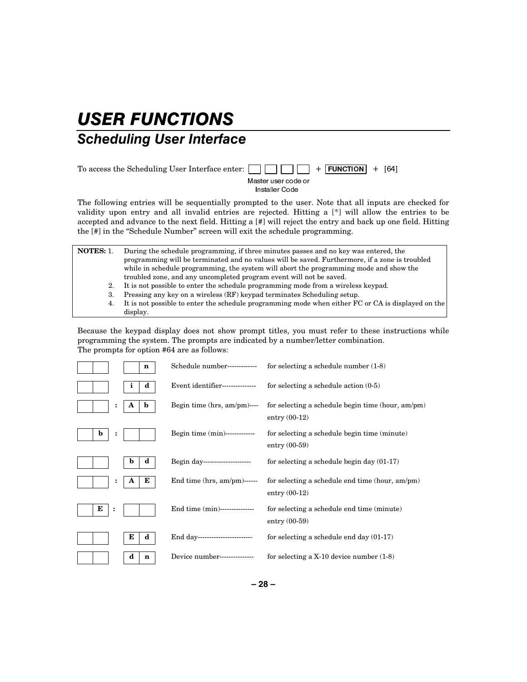## **USER FUNCTIONS Scheduling User Interface**

### To access the Scheduling User Interface enter: )81&7,21 >@ Master user code or Installer Code

The following entries will be sequentially prompted to the user. Note that all inputs are checked for validity upon entry and all invalid entries are rejected. Hitting a [\*] will allow the entries to be accepted and advance to the next field. Hitting a [#] will reject the entry and back up one field. Hitting the [#] in the "Schedule Number" screen will exit the schedule programming.

| <b>NOTES: 1.</b>                                                                               | During the schedule programming, if three minutes passes and no key was entered, the               |
|------------------------------------------------------------------------------------------------|----------------------------------------------------------------------------------------------------|
| programming will be terminated and no values will be saved. Furthermore, if a zone is troubled |                                                                                                    |
| while in schedule programming, the system will abort the programming mode and show the         |                                                                                                    |
|                                                                                                | troubled zone, and any uncompleted program event will not be saved.                                |
| 2.                                                                                             | It is not possible to enter the schedule programming mode from a wireless keypad.                  |
| 3.                                                                                             | Pressing any key on a wireless (RF) keypad terminates Scheduling setup.                            |
| 4.                                                                                             | It is not possible to enter the schedule programming mode when either FC or CA is displayed on the |
|                                                                                                | display.                                                                                           |

Because the keypad display does not show prompt titles, you must refer to these instructions while programming the system. The prompts are indicated by a number/letter combination. The prompts for option #64 are as follows:

| n                   | Schedule number-------------     | for selecting a schedule number $(1-8)$                              |
|---------------------|----------------------------------|----------------------------------------------------------------------|
| d                   | Event identifier---------------  | for selecting a schedule action $(0-5)$                              |
| :<br>b              | Begin time $(hrs, am/pm)$ ----   | for selecting a schedule begin time (hour, am/pm)<br>entry $(00-12)$ |
| $\mathbf b$         | Begin time (min)-------------    | for selecting a schedule begin time (minute)<br>entry $(00-59)$      |
| d<br>n              | Begin day----------------------  | for selecting a schedule begin day $(01-17)$                         |
| Е<br>A<br>፡         | End time $(hrs, am/pm)$ ------   | for selecting a schedule end time (hour, am/pm)<br>entry $(00-12)$   |
| Е<br>$\ddot{\cdot}$ | End time (min)---------------    | for selecting a schedule end time (minute)<br>entry $(00-59)$        |
| Е<br>d              | End day------------------------- | for selecting a schedule end day $(01-17)$                           |
| d<br>n              | Device number---------------     | for selecting a $X-10$ device number $(1-8)$                         |

**– 28 –**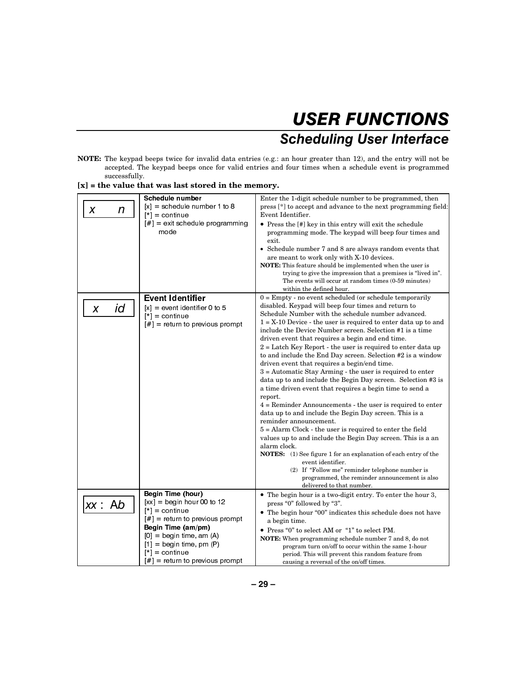## **USER FUNCTIONS Scheduling User Interface**

**NOTE:** The keypad beeps twice for invalid data entries (e.g.: an hour greater than 12), and the entry will not be accepted. The keypad beeps once for valid entries and four times when a schedule event is programmed successfully.

|         | <b>Schedule number</b>                                                | Enter the 1-digit schedule number to be programmed, then                                                                         |
|---------|-----------------------------------------------------------------------|----------------------------------------------------------------------------------------------------------------------------------|
| X<br>n  | $[x] =$ schedule number 1 to 8                                        | press [*] to accept and advance to the next programming field:                                                                   |
|         | $[*] =$ continue                                                      | Event Identifier.                                                                                                                |
|         | $ #$ ] = exit schedule programming                                    | • Press the [#] key in this entry will exit the schedule                                                                         |
|         | mode                                                                  | programming mode. The keypad will beep four times and                                                                            |
|         |                                                                       | exit.                                                                                                                            |
|         |                                                                       | • Schedule number 7 and 8 are always random events that                                                                          |
|         |                                                                       | are meant to work only with X-10 devices.                                                                                        |
|         |                                                                       | <b>NOTE:</b> This feature should be implemented when the user is<br>trying to give the impression that a premises is "lived in". |
|         |                                                                       | The events will occur at random times (0-59 minutes)                                                                             |
|         |                                                                       | within the defined hour.                                                                                                         |
|         | <b>Event Identifier</b>                                               | $0 =$ Empty - no event scheduled (or schedule temporarily                                                                        |
| id<br>X | $[x] = event$ identifier 0 to 5                                       | disabled. Keypad will beep four times and return to                                                                              |
|         | $[*] =$ continue                                                      | Schedule Number with the schedule number advanced.                                                                               |
|         | $[#]$ = return to previous prompt                                     | $1 = X-10$ Device - the user is required to enter data up to and                                                                 |
|         |                                                                       | include the Device Number screen. Selection #1 is a time                                                                         |
|         |                                                                       | driven event that requires a begin and end time.                                                                                 |
|         |                                                                       | $2 =$ Latch Key Report - the user is required to enter data up                                                                   |
|         |                                                                       | to and include the End Day screen. Selection #2 is a window<br>driven event that requires a begin/end time.                      |
|         |                                                                       | $3 =$ Automatic Stay Arming - the user is required to enter                                                                      |
|         |                                                                       | data up to and include the Begin Day screen. Selection #3 is                                                                     |
|         |                                                                       | a time driven event that requires a begin time to send a                                                                         |
|         |                                                                       | report.                                                                                                                          |
|         |                                                                       | $4 =$ Reminder Announcements - the user is required to enter                                                                     |
|         |                                                                       | data up to and include the Begin Day screen. This is a                                                                           |
|         |                                                                       | reminder announcement.                                                                                                           |
|         |                                                                       | $5 =$ Alarm Clock - the user is required to enter the field                                                                      |
|         |                                                                       | values up to and include the Begin Day screen. This is a an                                                                      |
|         |                                                                       | alarm clock.                                                                                                                     |
|         |                                                                       | <b>NOTES:</b> (1) See figure 1 for an explanation of each entry of the<br>event identifier.                                      |
|         |                                                                       | (2) If "Follow me" reminder telephone number is                                                                                  |
|         |                                                                       | programmed, the reminder announcement is also                                                                                    |
|         |                                                                       | delivered to that number.                                                                                                        |
|         | <b>Begin Time (hour)</b>                                              | • The begin hour is a two-digit entry. To enter the hour 3,                                                                      |
| xx : Ab | $[xx] =$ begin hour 00 to 12                                          | press "0" followed by "3".                                                                                                       |
|         | $[*] =$ continue                                                      | • The begin hour "00" indicates this schedule does not have                                                                      |
|         | $\lfloor # \rfloor$ = return to previous prompt<br>Begin Time (am/pm) | a begin time.                                                                                                                    |
|         | $[0] =$ begin time, am $(A)$                                          | • Press "0" to select AM or "1" to select PM.                                                                                    |
|         | $[1] =$ begin time, pm $(P)$                                          | <b>NOTE:</b> When programming schedule number 7 and 8, do not                                                                    |
|         | $[t^*] =$ continue                                                    | program turn on/off to occur within the same 1-hour<br>period. This will prevent this random feature from                        |
|         | $\lfloor # \rfloor$ = return to previous prompt                       | causing a reversal of the on/off times.                                                                                          |

**[x] = the value that was last stored in the memory.**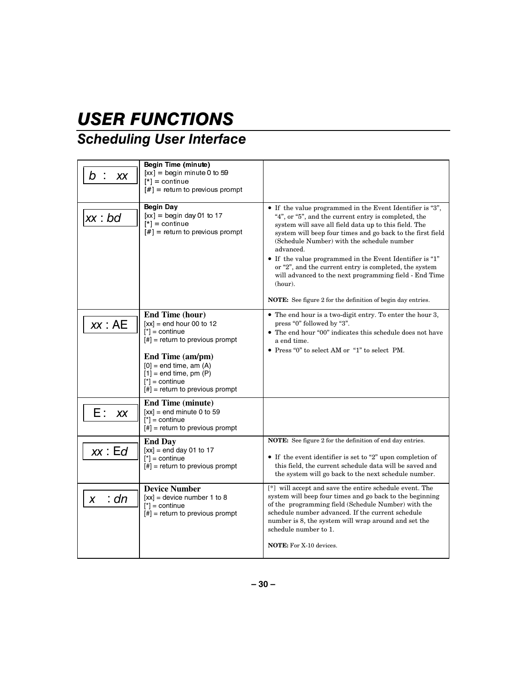## **Scheduling User Interface**

| b<br>XX   | <b>Begin Time (minute)</b><br>$[xx] =$ begin minute 0 to 59<br>$[*] =$ continue<br>$[#]$ = return to previous prompt                                                                                                                                           |                                                                                                                                                                                                                                                                                                                                                                                                                                                                                                                                                                                |
|-----------|----------------------------------------------------------------------------------------------------------------------------------------------------------------------------------------------------------------------------------------------------------------|--------------------------------------------------------------------------------------------------------------------------------------------------------------------------------------------------------------------------------------------------------------------------------------------------------------------------------------------------------------------------------------------------------------------------------------------------------------------------------------------------------------------------------------------------------------------------------|
| xx : bd   | Begin Day<br>$[xx] =$ begin day 01 to 17<br>$[*] =$ continue<br>$[#]$ = return to previous prompt                                                                                                                                                              | • If the value programmed in the Event Identifier is "3",<br>"4", or "5", and the current entry is completed, the<br>system will save all field data up to this field. The<br>system will beep four times and go back to the first field<br>(Schedule Number) with the schedule number<br>advanced.<br>$\bullet\,$ If the value programmed in the Event Identifier is "1"<br>or "2", and the current entry is completed, the system<br>will advanced to the next programming field - End Time<br>(hour).<br><b>NOTE:</b> See figure 2 for the definition of begin day entries. |
| xx : AE   | End Time (hour)<br>$[xx]$ = end hour 00 to 12<br>$[{}^*]$ = continue<br>$[#]$ = return to previous prompt<br>End Time (am/pm)<br>$[0]$ = end time, am $(A)$<br>$[1]$ = end time, pm $(P)$<br>$\lceil^* \rceil$ = continue<br>$[#]$ = return to previous prompt | • The end hour is a two-digit entry. To enter the hour 3,<br>press "0" followed by "3".<br>• The end hour "00" indicates this schedule does not have<br>a end time.<br>• Press "0" to select AM or "1" to select PM.                                                                                                                                                                                                                                                                                                                                                           |
| Ε:<br>XX  | <b>End Time (minute)</b><br>$[xx] =$ end minute 0 to 59<br>$[{}^*]$ = continue<br>$[#]$ = return to previous prompt                                                                                                                                            |                                                                                                                                                                                                                                                                                                                                                                                                                                                                                                                                                                                |
| xx : Ed   | <b>End Day</b><br>$[xx]$ = end day 01 to 17<br>$[{}^*]$ = continue<br>$[#]$ = return to previous prompt                                                                                                                                                        | <b>NOTE:</b> See figure 2 for the definition of end day entries.<br>$\bullet$ If the event identifier is set to "2" upon completion of<br>this field, the current schedule data will be saved and<br>the system will go back to the next schedule number.                                                                                                                                                                                                                                                                                                                      |
| : dn<br>X | <b>Device Number</b><br>$[xx]$ = device number 1 to 8<br>$[{}^*]$ = continue<br>$[$ #] = return to previous prompt                                                                                                                                             | [*] will accept and save the entire schedule event. The<br>system will beep four times and go back to the beginning<br>of the programming field (Schedule Number) with the<br>schedule number advanced. If the current schedule<br>number is 8, the system will wrap around and set the<br>schedule number to 1.<br><b>NOTE:</b> For X-10 devices.                                                                                                                                                                                                                             |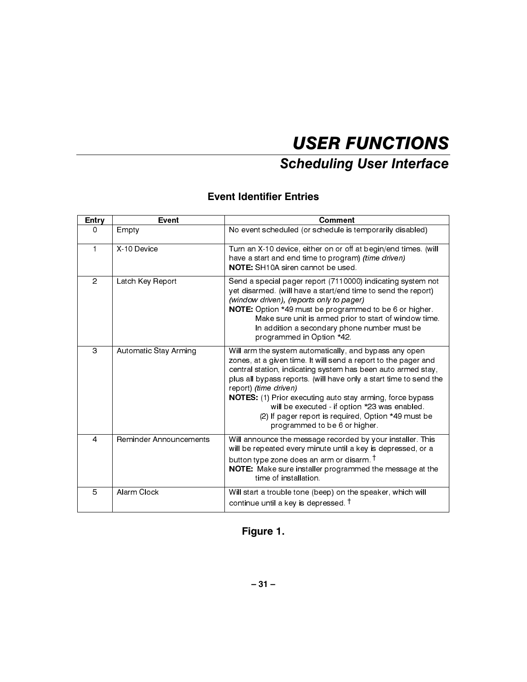## **Scheduling User Interface**

### **Event Identifier Entries**

| <b>Entry</b>   | Event                  | <b>Comment</b>                                                                                                                                                                                                                                                                                                                                                                                                                                                                               |
|----------------|------------------------|----------------------------------------------------------------------------------------------------------------------------------------------------------------------------------------------------------------------------------------------------------------------------------------------------------------------------------------------------------------------------------------------------------------------------------------------------------------------------------------------|
| $\Omega$       | Empty                  | No event scheduled (or schedule is temporarily disabled)                                                                                                                                                                                                                                                                                                                                                                                                                                     |
| $\mathbf{1}$   | X 10 Device            | Turn an X-10 device, either on or off at begin/end times. (will<br>have a start and end time to program) (time driven)<br><b>NOTE:</b> SH <sub>10</sub> A siren cannot be used.                                                                                                                                                                                                                                                                                                              |
| $\overline{2}$ | Latch Key Report       | Send a special pager report (7110000) indicating system not<br>yet disarmed. (will have a start/end time to send the report)<br>(window driven), (reports only to pager)<br>NOTE: Option *49 must be programmed to be 6 or higher.<br>Make sure unit is armed prior to start of window time.<br>In addition a secondary phone number must be<br>programmed in Option *42.                                                                                                                    |
| 3              | Automatic Stay Arming  | Will arm the system automatically, and bypass any open<br>zones, at a given time. It will send a report to the pager and<br>central station, indicating system has been auto armed stay,<br>plus all bypass reports. (will have only a start time to send the<br>report) (time driven)<br>NOTES: (1) Prior executing auto stay arming, force bypass<br>will be executed - if option *23 was enabled.<br>(2) If pager report is required, Option *49 must be<br>programmed to be 6 or higher. |
| $\overline{4}$ | Reminder Announcements | Will announce the message recorded by your installer. This<br>will be repeated every minute until a key is depressed, or a<br>button type zone does an arm or disarm. <sup>†</sup><br>NOTE: Make sure installer programmed the message at the<br>time of installation.                                                                                                                                                                                                                       |
| 5              | Alarm Clock            | Will start a trouble tone (beep) on the speaker, which will<br>continue until a key is depressed. <sup>†</sup>                                                                                                                                                                                                                                                                                                                                                                               |

## Figure 1.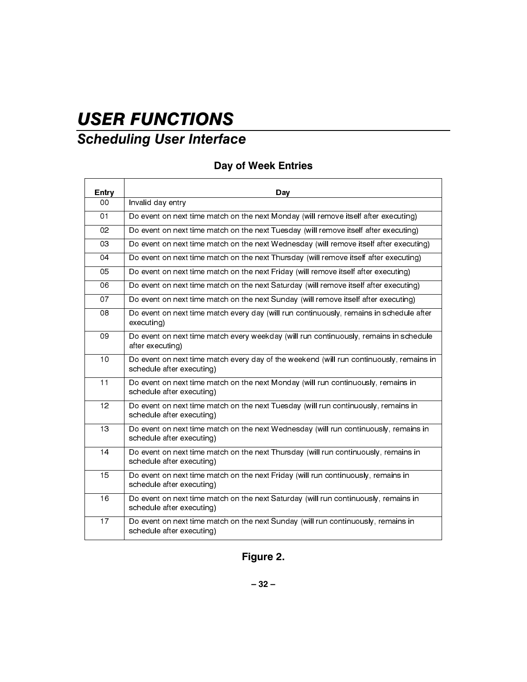## **Scheduling User Interface**

### Day of Week Entries

| Entry          | Day                                                                                                                  |
|----------------|----------------------------------------------------------------------------------------------------------------------|
| 00             | Invalid day entry                                                                                                    |
| O <sub>1</sub> | Do event on next time match on the next Monday (will remove itself after executing)                                  |
| 02             | Do event on next time match on the next Tuesday (will remove itself after executing)                                 |
| 03             | Do event on next time match on the next Wednesday (will remove itself after executing)                               |
| 04             | Do event on next time match on the next Thursday (will remove itself after executing)                                |
| 05             | Do event on next time match on the next Friday (will remove itself after executing)                                  |
| 06             | Do event on next time match on the next Saturday (will remove itself after executing)                                |
| 07             | Do event on next time match on the next Sunday (will remove itself after executing)                                  |
| 08             | Do event on next time match every day (will run continuously, remains in schedule after<br>executing)                |
| 09             | Do event on next time match every weekday (will run continuously, remains in schedule<br>after executing)            |
| 10             | Do event on next time match every day of the weekend (will run continuously, remains in<br>schedule after executing) |
| 11             | Do event on next time match on the next Monday (will run continuously, remains in<br>schedule after executing)       |
| 12             | Do event on next time match on the next Tuesday (will run continuously, remains in<br>schedule after executing)      |
| 13             | Do event on next time match on the next Wednesday (will run continuously, remains in<br>schedule after executing)    |
| 14             | Do event on next time match on the next Thursday (will run continuously, remains in<br>schedule after executing)     |
| 15             | Do event on next time match on the next Friday (will run continuously, remains in<br>schedule after executing)       |
| 16             | Do event on next time match on the next Saturday (will run continuously, remains in<br>schedule after executing)     |
| 17             | Do event on next time match on the next Sunday (will run continuously, remains in<br>schedule after executing)       |

Figure 2.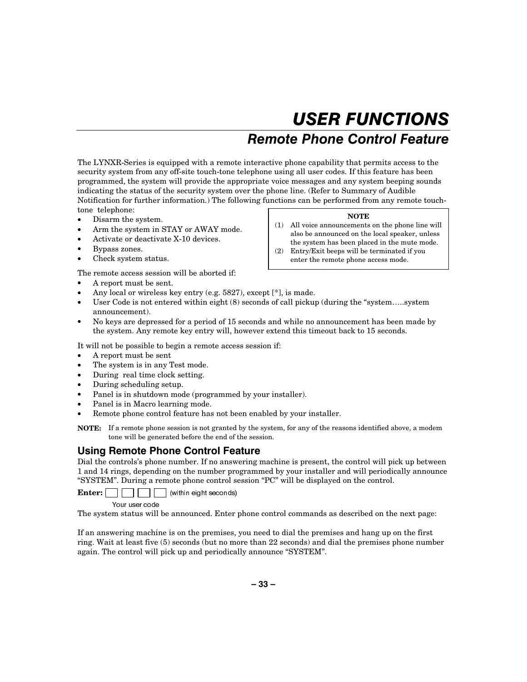### Remote Phone Control Feature

The LYNXR-Series is equipped with a remote interactive phone capability that permits access to the security system from any off-site touch-tone telephone using all user codes. If this feature has been programmed, the system will provide the appropriate voice messages and any system beeping sounds indicating the status of the security system over the phone line. (Refer to Summary of Audible Notification for further information.) The following functions can be performed from any remote touchtone telephone:

- Disarm the system.
- Arm the system in STAY or AWAY mode.
- Activate or deactivate X-10 devices.
- Bypass zones.
- Check system status.

The remote access session will be aborted if:

- A report must be sent.
- Any local or wireless key entry (e.g. 5827), except [\*], is made.
- User Code is not entered within eight (8) seconds of call pickup (during the "system.....system" announcement).
- No keys are depressed for a period of 15 seconds and while no announcement has been made by the system. Any remote key entry will, however extend this timeout back to 15 seconds.

It will not be possible to begin a remote access session if:

- A report must be sent
- The system is in any Test mode.
- During real time clock setting.
- During scheduling setup.
- Panel is in shutdown mode (programmed by your installer).
- Panel is in Macro learning mode.
- Remote phone control feature has not been enabled by your installer.

**NOTE:** If a remote phone session is not granted by the system, for any of the reasons identified above, a modem tone will be generated before the end of the session.

### Using Remote Phone Control Feature

Dial the controls's phone number. If no answering machine is present, the control will pick up between 1 and 14 rings, depending on the number programmed by your installer and will periodically announce "SYSTEM". During a remote phone control session "PC" will be displayed on the control.

**Enter:**  $\Box$   $\Box$  (within eight seconds)

Your user code

The system status will be announced. Enter phone control commands as described on the next page:

If an answering machine is on the premises, you need to dial the premises and hang up on the first ring. Wait at least five (5) seconds (but no more than 22 seconds) and dial the premises phone number again. The control will pick up and periodically announce "SYSTEM".

### **NOTE**

- (1) All voice announcements on the phone line will also be announced on the local speaker, unless the system has been placed in the mute mode.
- (2) Entry/Exit beeps will be terminated if you enter the remote phone access mode.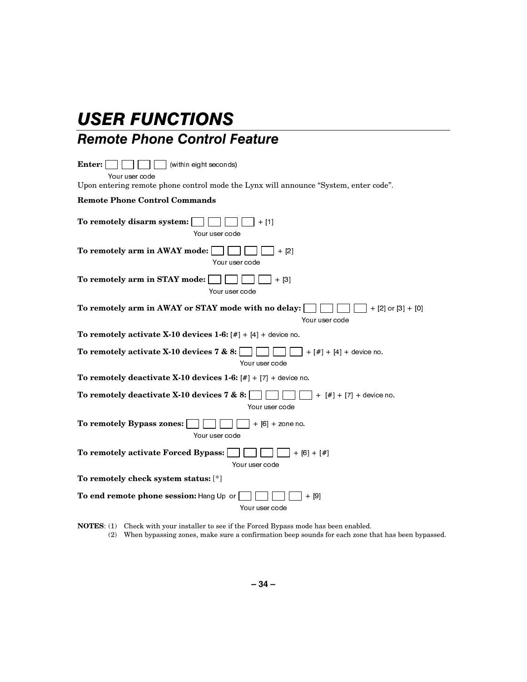### Remote Phone Control Feature

Enter:  $\Box$   $\Box$  (within eight seconds) Your user code Upon entering remote phone control mode the Lynx will announce "System, enter code". **Remote Phone Control Commands**  To remotely disarm system:  $\Box$   $\Box$   $\Box$  + [1] Your user code **To remotely arm in AWAY mode:**  $\Box$   $\Box$   $\Box$   $\Box$   $+$  [2] Your user code **To remotely arm in STAY mode:**  $\Box$   $\Box$   $\Box$  + [3] Your user code **To remotely arm in AWAY or STAY mode with no delay:**  $\Box$   $\Box$   $\Box$   $\Box$  + [2] or [3] + [0] Your user code **To remotely activate X-10 devices 1-6:**  $[\#] + [4] +$  device no. **To remotely activate X-10 devices 7 & 8:**  $\Box$   $\Box$   $\Box$   $\Box$   $\Box$   $\Box$   $[#]$  + [4] + device no. Your user code **To remotely deactivate X-10 devices 1-6:**  $[#] + [7] +$  device no. **To remotely deactivate X-10 devices 7 & 8:** >@ >@ GHYLFH QR Your user code **To remotely Bypass zones:**  $\Box$  $\Box$  $\Box$  + [6] + zone no. Your user code **To remotely activate Forced Bypass:** >@ >@ Your user code **To remotely check system status:** [\*] **To end remote phone session:** Hang Up or  $\Box$   $\Box$   $\Box$   $\Box$   $+$  [9] Your user code

**NOTES**: (1) Check with your installer to see if the Forced Bypass mode has been enabled. (2) When bypassing zones, make sure a confirmation beep sounds for each zone that has been bypassed.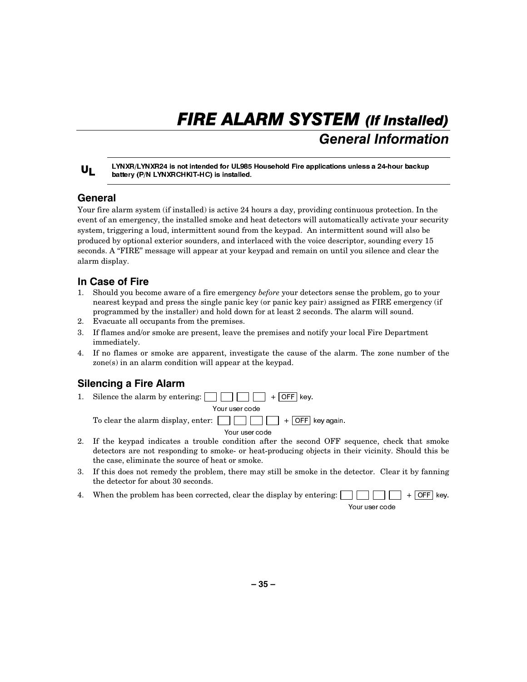## FIRE ALARM SYSTEM (If Installed) **General Information**

### $U_L$

LYNXR/LYNXR24 is not intended for UL985 Household Fire applications unless a 24-hour backup battery (P/N LYNXRCHKIT-HC) is installed.

### General

Your fire alarm system (if installed) is active 24 hours a day, providing continuous protection. In the event of an emergency, the installed smoke and heat detectors will automatically activate your security system, triggering a loud, intermittent sound from the keypad. An intermittent sound will also be produced by optional exterior sounders, and interlaced with the voice descriptor, sounding every 15 seconds. A "FIRE" message will appear at your keypad and remain on until you silence and clear the alarm display.

### In Case of Fire

- 1. Should you become aware of a fire emergency *before* your detectors sense the problem, go to your nearest keypad and press the single panic key (or panic key pair) assigned as FIRE emergency (if programmed by the installer) and hold down for at least 2 seconds. The alarm will sound.
- 2. Evacuate all occupants from the premises.
- 3. If flames and/or smoke are present, leave the premises and notify your local Fire Department immediately.
- 4. If no flames or smoke are apparent, investigate the cause of the alarm. The zone number of the zone(s) in an alarm condition will appear at the keypad.

### **Silencing a Fire Alarm**

- 1. Silence the alarm by entering:  $\Box$   $\Box$   $\Box$  + OFF key. Your user code To clear the alarm display, enter:  $\Box$  $\Box$  $\Box$  +  $\Box$  ey again. Your user code
- 2. If the keypad indicates a trouble condition after the second OFF sequence, check that smoke detectors are not responding to smoke- or heat-producing objects in their vicinity. Should this be the case, eliminate the source of heat or smoke.
- 3. If this does not remedy the problem, there may still be smoke in the detector. Clear it by fanning the detector for about 30 seconds.
- 4. When the problem has been corrected, clear the display by entering:  $\Box$

Your user code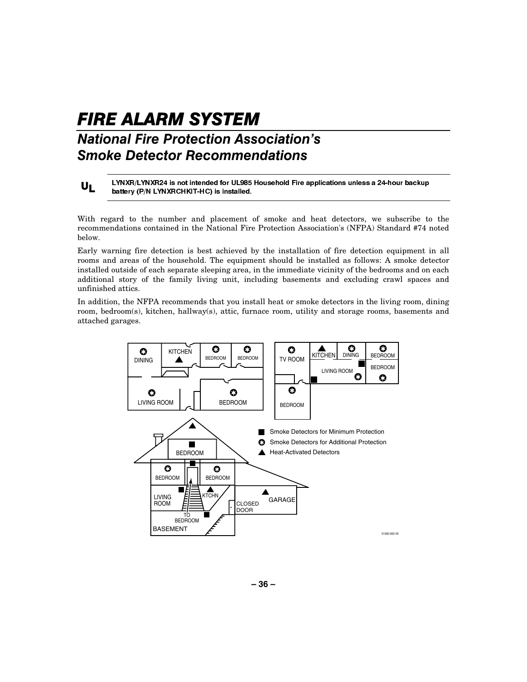## FIRE ALARM SYSTEM National Fire Protection Association's **Smoke Detector Recommendations**

 $U_L$ 

LYNXR/LYNXR24 is not intended for UL985 Household Fire applications unless a 24-hour backup battery (P/N LYNXRCHKIT-HC) is installed.

With regard to the number and placement of smoke and heat detectors, we subscribe to the recommendations contained in the National Fire Protection Association's (NFPA) Standard #74 noted below.

Early warning fire detection is best achieved by the installation of fire detection equipment in all rooms and areas of the household. The equipment should be installed as follows: A smoke detector installed outside of each separate sleeping area, in the immediate vicinity of the bedrooms and on each additional story of the family living unit, including basements and excluding crawl spaces and unfinished attics.

In addition, the NFPA recommends that you install heat or smoke detectors in the living room, dining room, bedroom(s), kitchen, hallway(s), attic, furnace room, utility and storage rooms, basements and attached garages.

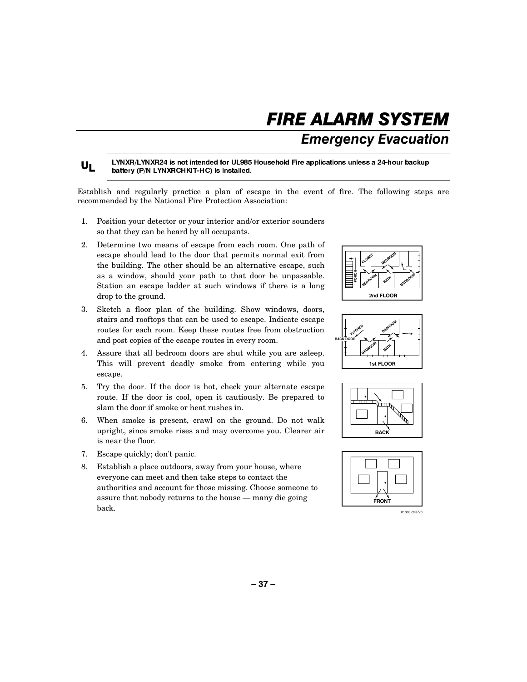## FIRE ALARM SYSTEM

**Emergency Evacuation** 

 $U_L$ LYNXR/LYNXR24 is not intended for UL985 Household Fire applications unless a 24-hour backup battery (P/N LYNXRCHKIT-HC) is installed.

Establish and regularly practice a plan of escape in the event of fire. The following steps are recommended by the National Fire Protection Association:

- 1. Position your detector or your interior and/or exterior sounders so that they can be heard by all occupants.
- 2. Determine two means of escape from each room. One path of escape should lead to the door that permits normal exit from the building. The other should be an alternative escape, such as a window, should your path to that door be unpassable. Station an escape ladder at such windows if there is a long drop to the ground.
- 3. Sketch a floor plan of the building. Show windows, doors, stairs and rooftops that can be used to escape. Indicate escape routes for each room. Keep these routes free from obstruction and post copies of the escape routes in every room.
- 4. Assure that all bedroom doors are shut while you are asleep. This will prevent deadly smoke from entering while you escape.
- 5. Try the door. If the door is hot, check your alternate escape route. If the door is cool, open it cautiously. Be prepared to slam the door if smoke or heat rushes in.
- 6. When smoke is present, crawl on the ground. Do not walk upright, since smoke rises and may overcome you. Clearer air is near the floor.
- 7. Escape quickly; don't panic.
- 8. Establish a place outdoors, away from your house, where everyone can meet and then take steps to contact the authorities and account for those missing. Choose someone to assure that nobody returns to the house — many die going back.









01000-023-V0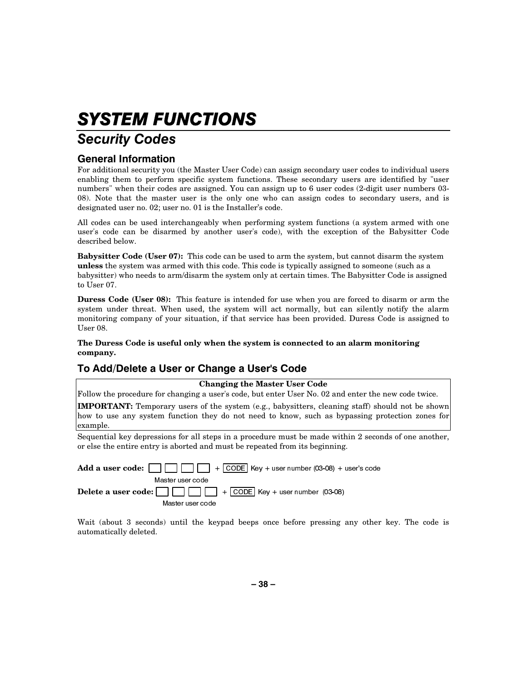## SYSTEM FUNCTIONS

## **Security Codes**

### **General Information**

For additional security you (the Master User Code) can assign secondary user codes to individual users enabling them to perform specific system functions. These secondary users are identified by "user numbers" when their codes are assigned. You can assign up to 6 user codes (2-digit user numbers 03- 08). Note that the master user is the only one who can assign codes to secondary users, and is designated user no. 02; user no. 01 is the Installer's code.

All codes can be used interchangeably when performing system functions (a system armed with one user's code can be disarmed by another user's code), with the exception of the Babysitter Code described below.

**Babysitter Code (User 07):** This code can be used to arm the system, but cannot disarm the system **unless** the system was armed with this code. This code is typically assigned to someone (such as a babysitter) who needs to arm/disarm the system only at certain times. The Babysitter Code is assigned to User 07.

**Duress Code (User 08):** This feature is intended for use when you are forced to disarm or arm the system under threat. When used, the system will act normally, but can silently notify the alarm monitoring company of your situation, if that service has been provided. Duress Code is assigned to User 08.

### **The Duress Code is useful only when the system is connected to an alarm monitoring company.**

### To Add/Delete a User or Change a User's Code

### **Changing the Master User Code**

Follow the procedure for changing a user's code, but enter User No. 02 and enter the new code twice.

**IMPORTANT:** Temporary users of the system (e.g., babysitters, cleaning staff) should not be shown how to use any system function they do not need to know, such as bypassing protection zones for example.

Sequential key depressions for all steps in a procedure must be made within 2 seconds of one another, or else the entire entry is aborted and must be repeated from its beginning.

| Master user code |  |
|------------------|--|
|                  |  |
| Master user code |  |

Wait (about 3 seconds) until the keypad beeps once before pressing any other key. The code is automatically deleted.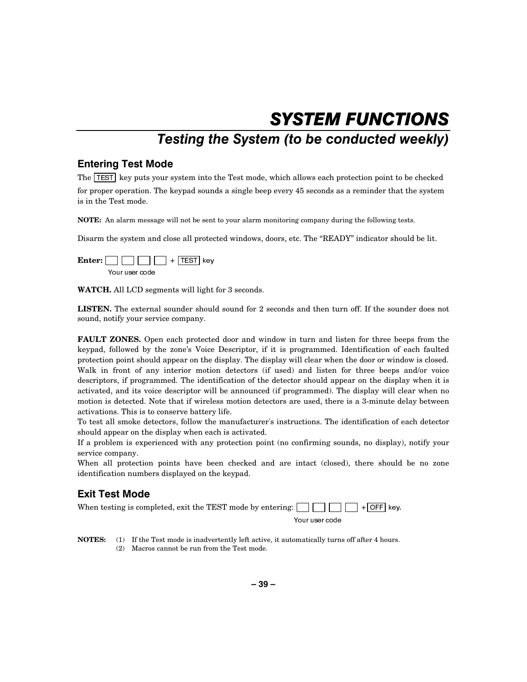## SYSTEM FUNCTIONS

## Testing the System (to be conducted weekly)

### **Entering Test Mode**

The  $\overline{T}$  key puts your system into the Test mode, which allows each protection point to be checked for proper operation. The keypad sounds a single beep every 45 seconds as a reminder that the system is in the Test mode.

**NOTE:** An alarm message will not be sent to your alarm monitoring company during the following tests.

Disarm the system and close all protected windows, doors, etc. The "READY" indicator should be lit.



**WATCH.** All LCD segments will light for 3 seconds.

**LISTEN.** The external sounder should sound for 2 seconds and then turn off. If the sounder does not sound, notify your service company.

**FAULT ZONES.** Open each protected door and window in turn and listen for three beeps from the keypad, followed by the zone's Voice Descriptor, if it is programmed. Identification of each faulted protection point should appear on the display. The display will clear when the door or window is closed. Walk in front of any interior motion detectors (if used) and listen for three beeps and/or voice descriptors, if programmed. The identification of the detector should appear on the display when it is activated, and its voice descriptor will be announced (if programmed). The display will clear when no motion is detected. Note that if wireless motion detectors are used, there is a 3-minute delay between activations. This is to conserve battery life.

To test all smoke detectors, follow the manufacturer's instructions. The identification of each detector should appear on the display when each is activated.

If a problem is experienced with any protection point (no confirming sounds, no display), notify your service company.

When all protection points have been checked and are intact (closed), there should be no zone identification numbers displayed on the keypad.

### **Exit Test Mode**

| When testing is completed, exit the TEST mode by entering: $\Box$ $\Box$ $\Box$ + $\Box$ ey. |
|----------------------------------------------------------------------------------------------|
|----------------------------------------------------------------------------------------------|

Your user code

**NOTES:** (1) If the Test mode is inadvertently left active, it automatically turns off after 4 hours. (2) Macros cannot be run from the Test mode.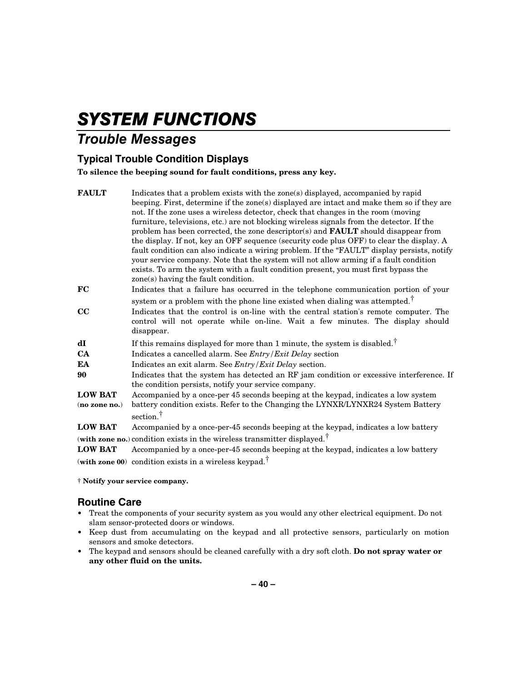## SYSTEM FUNCTIONS

### **Trouble Messages**

### **Typical Trouble Condition Displays**

**To silence the beeping sound for fault conditions, press any key.** 

| <b>FAULT</b>    | Indicates that a problem exists with the zone(s) displayed, accompanied by rapid            |
|-----------------|---------------------------------------------------------------------------------------------|
|                 | beeping. First, determine if the zone(s) displayed are intact and make them so if they are  |
|                 | not. If the zone uses a wireless detector, check that changes in the room (moving           |
|                 | furniture, televisions, etc.) are not blocking wireless signals from the detector. If the   |
|                 | problem has been corrected, the zone descriptor(s) and <b>FAULT</b> should disappear from   |
|                 | the display. If not, key an OFF sequence (security code plus OFF) to clear the display. A   |
|                 | fault condition can also indicate a wiring problem. If the "FAULT" display persists, notify |
|                 | your service company. Note that the system will not allow arming if a fault condition       |
|                 | exists. To arm the system with a fault condition present, you must first bypass the         |
|                 | zone(s) having the fault condition.                                                         |
| FC              | Indicates that a failure has occurred in the telephone communication portion of your        |
|                 | system or a problem with the phone line existed when dialing was attempted. <sup>†</sup>    |
| cc              | Indicates that the control is on-line with the central station's remote computer. The       |
|                 | control will not operate while on-line. Wait a few minutes. The display should              |
|                 | disappear.                                                                                  |
| dI              | If this remains displayed for more than 1 minute, the system is disabled. <sup>†</sup>      |
| <b>CA</b>       | Indicates a cancelled alarm. See $Entry/Exit$ Delay section                                 |
| EA              | Indicates an exit alarm. See <i>Entry</i> / <i>Exit Delay</i> section.                      |
| 90              | Indicates that the system has detected an RF jam condition or excessive interference. If    |
|                 | the condition persists, notify your service company.                                        |
| <b>LOW BAT</b>  | Accompanied by a once-per 45 seconds beeping at the keypad, indicates a low system          |
| $(no$ zone no.) | battery condition exists. Refer to the Changing the LYNXR/LYNXR24 System Battery            |
|                 | section. <sup>†</sup>                                                                       |
| <b>LOW BAT</b>  | Accompanied by a once-per-45 seconds beeping at the keypad, indicates a low battery         |
|                 | (with zone no.) condition exists in the wireless transmitter displayed. <sup>†</sup>        |

**LOW BAT** Accompanied by a once-per-45 seconds beeping at the keypad, indicates a low battery (**with zone 00**) condition exists in a wireless keypad.†

**† Notify your service company.** 

### **Routine Care**

- **•** Treat the components of your security system as you would any other electrical equipment. Do not slam sensor-protected doors or windows.
- **•** Keep dust from accumulating on the keypad and all protective sensors, particularly on motion sensors and smoke detectors.
- **•** The keypad and sensors should be cleaned carefully with a dry soft cloth. **Do not spray water or any other fluid on the units.**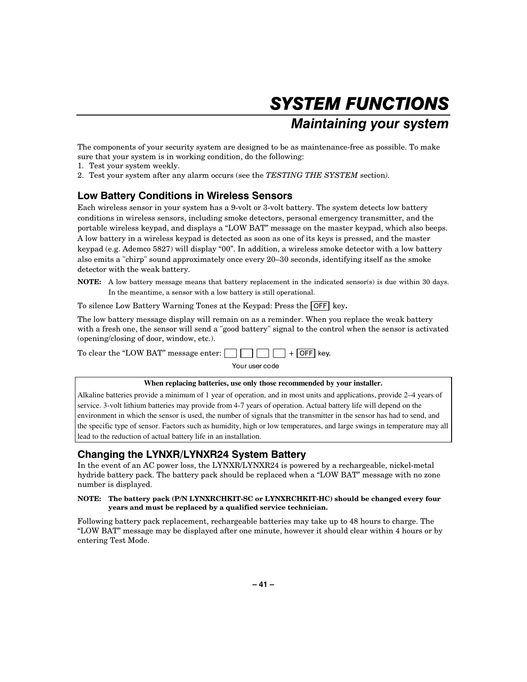## SYSTEM FUNCTIONS Maintaining your system

The components of your security system are designed to be as maintenance-free as possible. To make sure that your system is in working condition, do the following:

- 1. Test your system weekly.
- 2. Test your system after any alarm occurs (see the *TESTING THE SYSTEM* section*).*

### Low Battery Conditions in Wireless Sensors

Each wireless sensor in your system has a 9-volt or 3-volt battery. The system detects low battery conditions in wireless sensors, including smoke detectors, personal emergency transmitter, and the portable wireless keypad, and displays a "LOW BAT" message on the master keypad, which also beeps. A low battery in a wireless keypad is detected as soon as one of its keys is pressed, and the master keypad (e.g. Ademco 5827) will display "00". In addition, a wireless smoke detector with a low battery also emits a "chirp" sound approximately once every 20–30 seconds, identifying itself as the smoke detector with the weak battery.

**NOTE:** A low battery message means that battery replacement in the indicated sensor(s) is due within 30 days. In the meantime, a sensor with a low battery is still operational.

To silence Low Battery Warning Tones at the Keypad: Press the **OFF** key.

The low battery message display will remain on as a reminder. When you replace the weak battery with a fresh one, the sensor will send a "good battery" signal to the control when the sensor is activated (opening/closing of door, window, etc.).



### **When replacing batteries, use only those recommended by your installer.**

Alkaline batteries provide a minimum of 1 year of operation, and in most units and applications, provide 2–4 years of service. 3-volt lithium batteries may provide from 4-7 years of operation. Actual battery life will depend on the environment in which the sensor is used, the number of signals that the transmitter in the sensor has had to send, and the specific type of sensor. Factors such as humidity, high or low temperatures, and large swings in temperature may all lead to the reduction of actual battery life in an installation.

### Changing the LYNXR/LYNXR24 System Battery

In the event of an AC power loss, the LYNXR/LYNXR24 is powered by a rechargeable, nickel-metal hydride battery pack. The battery pack should be replaced when a "LOW BAT" message with no zone number is displayed.

#### **NOTE: The battery pack (P/N LYNXRCHKIT-SC or LYNXRCHKIT-HC) should be changed every four years and must be replaced by a qualified service technician.**

Following battery pack replacement, rechargeable batteries may take up to 48 hours to charge. The "LOW BAT" message may be displayed after one minute, however it should clear within 4 hours or by entering Test Mode.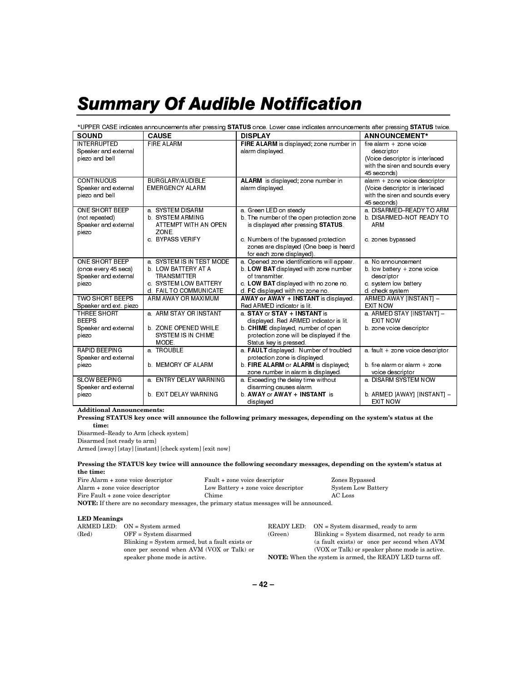## **Summary Of Audible Notification**

#### \*UPPER CASE indicates announcements after pressing STATUS once. Lower case indicates announcements after pressing STATUS twice. **SOUND DISPLAY ANNOUNCEMENT\* CAUSE** FIRE ALARM is displayed; zone number in **INTERRUPTED FIRE ALARM** fire alarm  $+$  zone voice Speaker and external alarm displayed. descriptor piezo and bell (Voice descriptor is interlaced with the siren and sounds every 45 seconds) **CONTINUOUS** BURGLARY/AUDIBLE ALARM is displayed; zone number in alarm + zone voice descriptor Speaker and external **EMERGENCY ALARM** alarm displayed. (Voice descriptor is interlaced piezo and bell with the siren and sounds every 45 seconds) ONE SHORT BEEP a. SYSTEM DISARM a. Green LED on steady a. DISARMED-READY TO ARM **b. DISARMED-NOT READY TO** (not repeated) **b. SYSTEM ARMING** b. The number of the open protection zone Speaker and external ATTEMPT WITH AN OPEN is displayed after pressing STATUS. ARM ZONE. piezo c. Numbers of the bypassed protection c. BYPASS VERIFY c. zones bypassed zones are displayed (One beep is heard for each zone displayed). ONE SHORT BEEP a. SYSTEM IS IN TEST MODE a. Opened zone identifications will appear. a. No announcement b. LOW BATTERY AT A b. LOW BAT displayed with zone number (once every 45 secs) b. low battery + zone voice **TRANSMITTER** Speaker and external of transmitter. descriptor piezo c. SYSTEM LOW BATTERY c. LOW BAT displayed with no zone no. c. system low battery d. FAIL TO COMMUNICATE d. FC displayed with no zone no. d. check system AWAY or AWAY + INSTANT is displayed. **TWO SHORT BEEPS** ARM AWAY OR MAXIMUM ARMED AWAY [INSTANT] -Speaker and ext. piezo Red ARMED indicator is lit. **FXIT NOW THREE SHORT** a. ARM STAY OR INSTANT a STAY or STAY + INSTANT is a. ARMED STAY [INSTANT] -**BFFPS** displayed. Red ARMED indicator is lit. **FXIT NOW** b. CHIME displayed, number of open Speaker and external b. ZONE OPENED WHILE b. zone voice descriptor piezo SYSTEM IS IN CHIME protection zone will be displayed if the **MODE** Status key is pressed RAPID BEEPING a TROUBLE a. FAULT displayed. Number of troubled a fault + zone voice descriptor Speaker and external protection zone is displayed. **b. MEMORY OF ALARM** b. FIRE ALARM or ALARM is displayed, h fire alarm or alarm + zone piezo zone number in alarm is displayed. voice descriptor **SLOW BEEPING** a. ENTRY DELAY WARNING a. DISARM SYSTEM NOW a. Exceeding the delay time without Speaker and external disarming causes alarm. b. AWAY or AWAY + INSTANT is b. EXIT DELAY WARNING b. ARMED [AWAY] [INSTANT] piezo **EXIT NOW** displayed

**Additional Announcements:** 

Pressing STATUS key once will announce the following primary messages, depending on the system's status at the time:

Disarmed-Ready to Arm [check system] Disarmed [not ready to arm] Armed [away] [stay] [instant] [check system] [exit now]

#### Pressing the STATUS key twice will announce the following secondary messages, depending on the system's status at the time:

Fire Alarm + zone voice descriptor Alarm + zone voice descriptor Fire Fault + zone voice descriptor Chime

Fault + zone voice descriptor Low Battery + zone voice descriptor Zones Bypassed **System Low Battery** AC Loss

NOTE: If there are no secondary messages, the primary status messages will be announced.

#### **LED Meanings**

|      | ARMED LED: ON = System armed                   | <b>READY LED:</b>     |
|------|------------------------------------------------|-----------------------|
| (Red | $OFF = System$ disarmed                        | (Green)               |
|      | Blinking = System armed, but a fault exists or |                       |
|      | once per second when AVM (VOX or Talk) or      |                       |
|      | speaker phone mode is active.                  | <b>NOTE:</b> When the |

 $ON = System$  disarmed, ready to arm Blinking = System disarmed, not ready to arm (a fault exists) or once per second when AVM (VOX or Talk) or speaker phone mode is active. he system is armed, the READY LED turns off.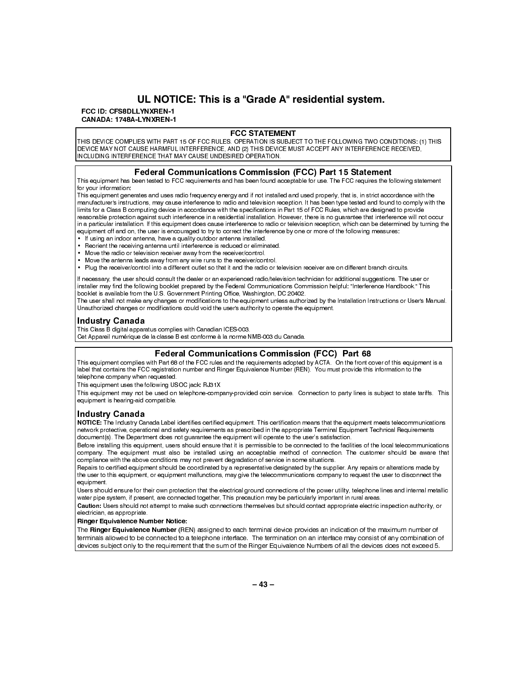### UL NOTICE: This is a "Grade A" residential system.

### FCC ID: CFS8DLLYNXREN-1

CANADA: 1748A-LYNXREN-1

### **FCC STATEMENT**

THIS DEVICE COMPLIES WITH PART 15 OF FCC RULES, OPERATION IS SUBJECT TO THE FOLLOWING TWO CONDITIONS: (1) THIS DEVICE MAY NOT CAUSE HARMFUL INTERFERENCE, AND (2) THIS DEVICE MUST ACCEPT ANY INTERFERENCE RECEIVED, INCLUDING INTERFERENCE THAT MAY CAUSE UNDESIRED OPERATION.

### **Federal Communications Commission (FCC) Part 15 Statement**

This equipment has been tested to FCC requirements and has been found acceptable for use. The FCC requires the following statement for your information:

This equipment generates and uses radio frequency energy and if not installed and used properly, that is, in strict accordance with the manufacturer's instructions, may cause interference to radio and television reception. It has been type tested and found to comply with the limits for a Class B computing device in accordance with the specifications in Part 15 of FCC Rules, which are designed to provide reasonable protection against such interference in a residential installation. However, there is no quarantee that interference will not occur in a particular installation. If this equipment does cause interference to radio or television reception, which can be determined by turning the equipment off and on, the user is encouraged to try to correct the interference by one or more of the following measures:

- If using an indoor antenna, have a quality outdoor antenna installed.
- Reorient the receiving antenna until interference is reduced or eliminated.
- Move the radio or television receiver away from the receiver/control.
- Move the antenna leads away from any wire runs to the receiver/control.
- . Plug the receiver/control into a different outlet so that it and the radio or television receiver are on different branch circuits.

If necessary, the user should consult the dealer or an experienced radio/television technician for additional suggestions. The user or installer may find the following booklet prepared by the Federal Communications Commission helpful: "Interference Handbook." This booklet is available from the U.S. Government Printing Office, Washington, DC 20402.

The user shall not make any changes or modifications to the equipment unless authorized by the Installation Instructions or User's Manual. Unauthorized changes or modifications could void the user's authority to operate the equipment.

### **Industry Canada**

This Class B digital apparatus complies with Canadian ICES-003.

Cet Appareil numérique de la classe B est conforme à la norme NMB-003 du Canada.

### **Federal Communications Commission (FCC) Part 68**

This equipment complies with Part 68 of the FCC rules and the requirements adopted by ACTA. On the front cover of this equipment is a label that contains the FCC registration number and Ringer Equivalence Number (REN). You must provide this information to the telephone company when requested.

This equipment uses the following USOC jack: RJ31X

This equipment may not be used on telephone-company-provided coin service. Connection to party lines is subject to state tariffs. This equipment is hearing aid compatible.

### **Industry Canada**

NOTICE: The Industry Canada Label identifies certified equipment. This certification means that the equipment meets telecommunications network protective, operational and safety requirements as prescribed in the appropriate Terminal Equipment Technical Requirements document(s). The Department does not guarantee the equipment will operate to the user's satisfaction.

Before installing this equipment, users should ensure that it is permissible to be connected to the facilities of the local telecommunications company. The equipment must also be installed using an acceptable method of connection. The customer should be aware that compliance with the above conditions may not prevent degradation of service in some situations.

Repairs to certified equipment should be coordinated by a representative designated by the supplier. Any repairs or alterations made by the user to this equipment, or equipment malfunctions, may give the telecommunications company to request the user to disconnect the equipment.

Users should ensure for their own protection that the electrical ground connections of the power utility, telephone lines and internal metallic water pipe system, if present, are connected together, This precaution may be particularly important in rural areas.

Caution: Users should not attempt to make such connections themselves but should contact appropriate electric inspection authority, or electrician, as appropriate.

**Ringer Equivalence Number Notice:** 

The Ringer Equivalence Number (REN) assigned to each terminal device provides an indication of the maximum number of terminals allowed to be connected to a telephone interface. The termination on an interface may consist of any combination of devices subject only to the requirement that the sum of the Ringer Equivalence Numbers of all the devices does not exceed 5.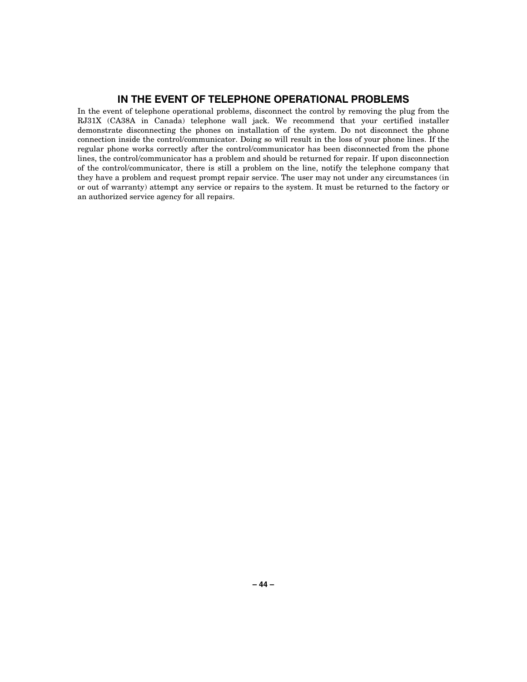### IN THE EVENT OF TELEPHONE OPERATIONAL PROBLEMS

In the event of telephone operational problems, disconnect the control by removing the plug from the RJ31X (CA38A in Canada) telephone wall jack. We recommend that your certified installer demonstrate disconnecting the phones on installation of the system. Do not disconnect the phone connection inside the control/communicator. Doing so will result in the loss of your phone lines. If the regular phone works correctly after the control/communicator has been disconnected from the phone lines, the control/communicator has a problem and should be returned for repair. If upon disconnection of the control/communicator, there is still a problem on the line, notify the telephone company that they have a problem and request prompt repair service. The user may not under any circumstances (in or out of warranty) attempt any service or repairs to the system. It must be returned to the factory or an authorized service agency for all repairs.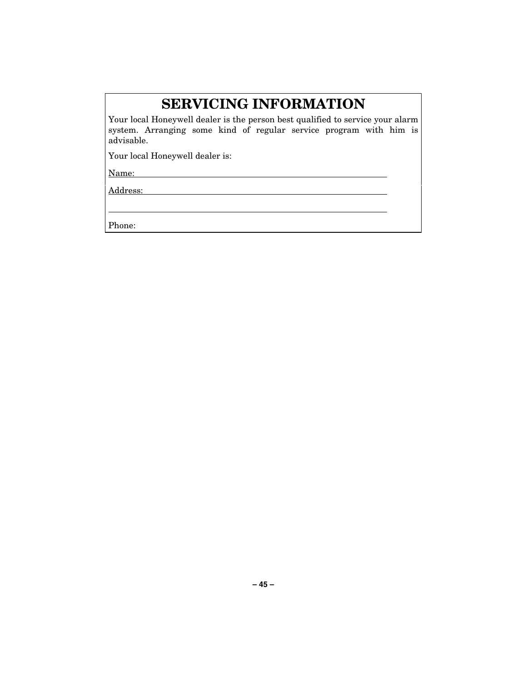## **SERVICING INFORMATION**

Your local Honeywell dealer is the person best qualified to service your alarm system. Arranging some kind of regular service program with him is advisable.

Your local Honeywell dealer is:

Name:

Address:

Phone: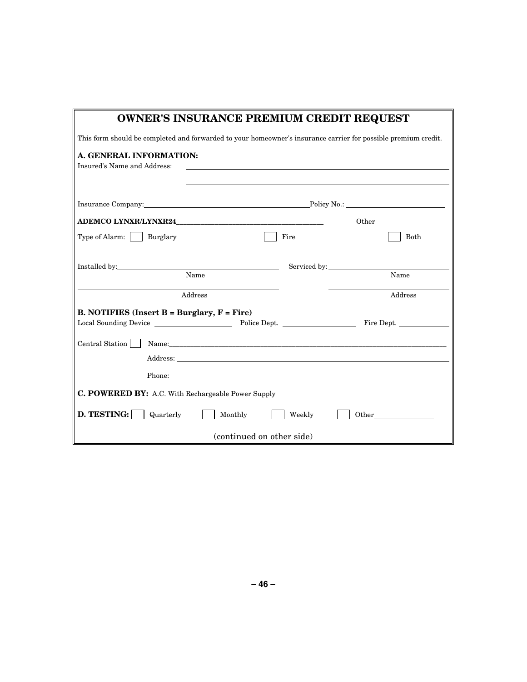| <b>OWNER'S INSURANCE PREMIUM CREDIT REQUEST</b>                                                                                                                                                                                                                 |                                                                                                                |       |  |  |  |
|-----------------------------------------------------------------------------------------------------------------------------------------------------------------------------------------------------------------------------------------------------------------|----------------------------------------------------------------------------------------------------------------|-------|--|--|--|
|                                                                                                                                                                                                                                                                 | This form should be completed and forwarded to your homeowner's insurance carrier for possible premium credit. |       |  |  |  |
| A. GENERAL INFORMATION:<br>Insured's Name and Address:                                                                                                                                                                                                          |                                                                                                                |       |  |  |  |
| Insurance Company: Policy No.: Policy No.: 2008. [2010]                                                                                                                                                                                                         |                                                                                                                |       |  |  |  |
| ADEMCO LYNXR/LYNXR24                                                                                                                                                                                                                                            |                                                                                                                | Other |  |  |  |
| Type of Alarm:   Burglary                                                                                                                                                                                                                                       | Fire                                                                                                           | Both  |  |  |  |
| Installed by:<br>Name                                                                                                                                                                                                                                           | Serviced by:                                                                                                   | Name  |  |  |  |
| Address<br>Address                                                                                                                                                                                                                                              |                                                                                                                |       |  |  |  |
| <b>B. NOTIFIES (Insert B = Burglary, F = Fire)</b><br>Local Sounding Device The Police Dept. Police Dept. Time Sept.                                                                                                                                            |                                                                                                                |       |  |  |  |
| Central Station    <br>Address: Address: Address: Address: Address: Address: Address: Address: Address: Address: Address: Address: Address: Address: Address: Address: Address: Address: Address: Address: Address: Address: Address: Address: Addres<br>Phone: |                                                                                                                |       |  |  |  |
| <b>C. POWERED BY:</b> A.C. With Rechargeable Power Supply                                                                                                                                                                                                       |                                                                                                                |       |  |  |  |
| D. TESTING:<br>Other<br>  Quarterly<br>Monthly<br>Weekly                                                                                                                                                                                                        |                                                                                                                |       |  |  |  |
| (continued on other side)                                                                                                                                                                                                                                       |                                                                                                                |       |  |  |  |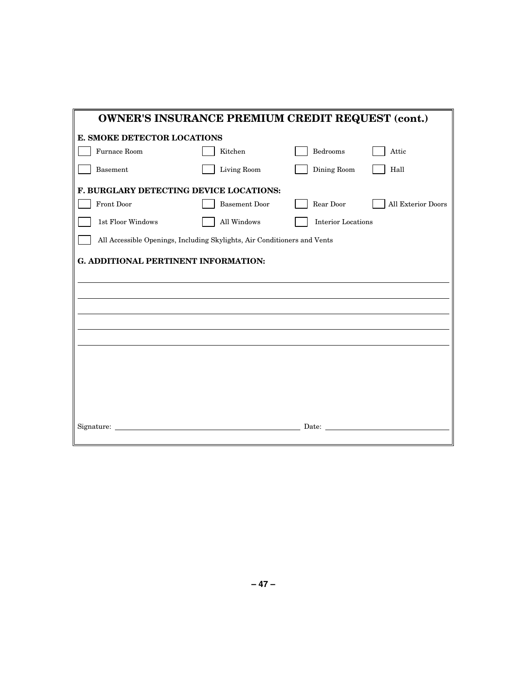| <b>OWNER'S INSURANCE PREMIUM CREDIT REQUEST (cont.)</b>                  |                      |                           |                           |
|--------------------------------------------------------------------------|----------------------|---------------------------|---------------------------|
| E. SMOKE DETECTOR LOCATIONS                                              |                      |                           |                           |
| Furnace Room                                                             | Kitchen              | Bedrooms                  | Attic                     |
| Basement                                                                 | Living Room          | Dining Room               | Hall                      |
| F. BURGLARY DETECTING DEVICE LOCATIONS:                                  |                      |                           |                           |
| Front Door                                                               | <b>Basement Door</b> | Rear Door                 | <b>All Exterior Doors</b> |
| 1st Floor Windows                                                        | All Windows          | <b>Interior Locations</b> |                           |
| All Accessible Openings, Including Skylights, Air Conditioners and Vents |                      |                           |                           |
| G. ADDITIONAL PERTINENT INFORMATION:                                     |                      |                           |                           |
|                                                                          |                      |                           |                           |
|                                                                          |                      |                           |                           |
|                                                                          |                      |                           |                           |
|                                                                          |                      |                           |                           |
|                                                                          |                      |                           |                           |
|                                                                          |                      |                           |                           |
|                                                                          |                      |                           |                           |
|                                                                          |                      |                           |                           |
|                                                                          |                      |                           |                           |
| Signature:                                                               |                      | Date:                     |                           |
|                                                                          |                      |                           |                           |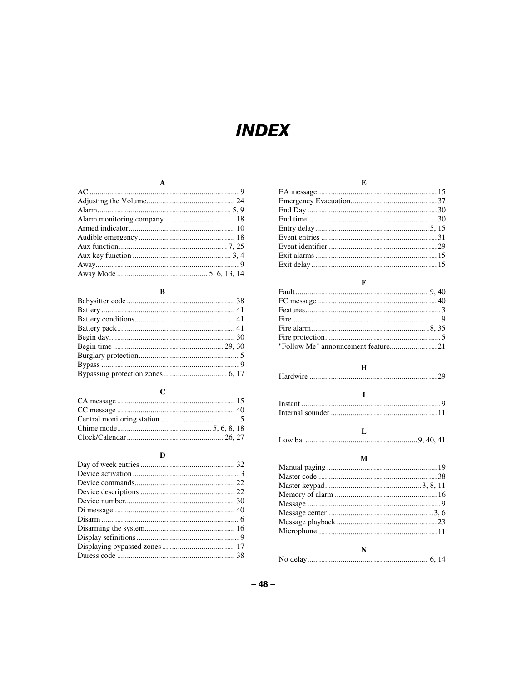## **INDEX**

### $\mathbf A$

### $\, {\bf B}$

### $\mathbf{C}$

| Clock/Calendar |  |
|----------------|--|

### $\mathbf{D}$

### $\mathbf E$

### $\mathbf F$

### $\mathbf H$

| and the state of the state of the |  |
|-----------------------------------|--|
|                                   |  |
|                                   |  |
|                                   |  |
|                                   |  |
|                                   |  |

### $\mathbf L$

### $\mathbf M$

| N |  |  |
|---|--|--|
|   |  |  |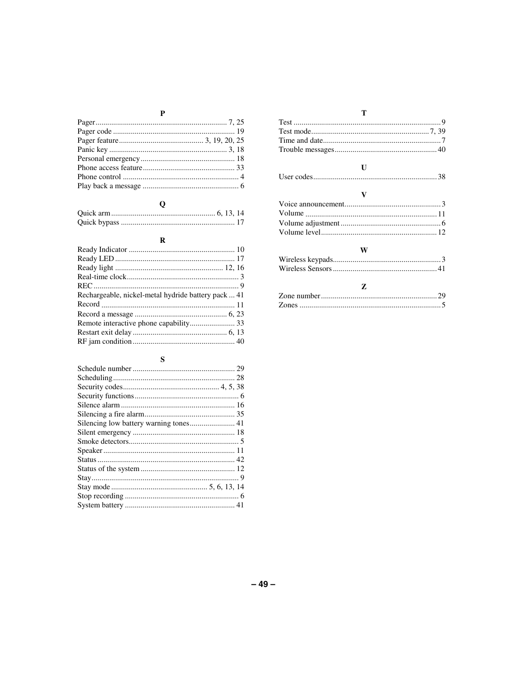### $\mathbf P$

### $\overline{Q}$

 ${\bf R}$ 

| Rechargeable, nickel-metal hydride battery pack  41 |  |
|-----------------------------------------------------|--|
|                                                     |  |
|                                                     |  |
| Remote interactive phone capability 33              |  |
|                                                     |  |
|                                                     |  |

### ${\bf S}$

### 

### $\overline{\mathbf{V}}$

### $\mathbf{W}$

### $-49-$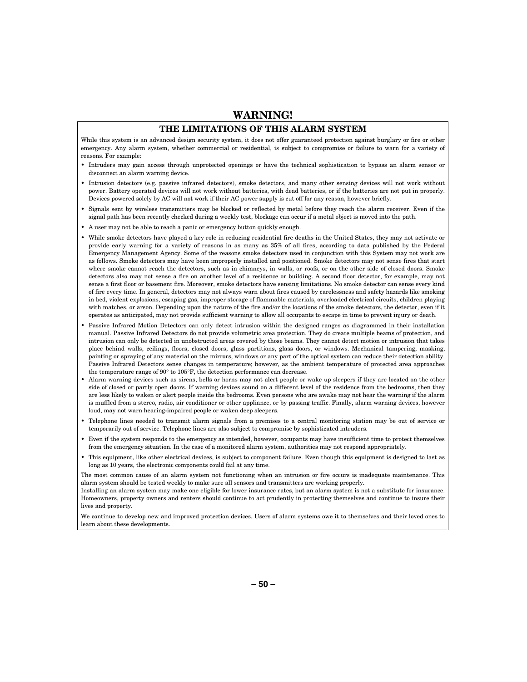### **WARNING!**

#### **THE LIMITATIONS OF THIS ALARM SYSTEM**

While this system is an advanced design security system, it does not offer guaranteed protection against burglary or fire or other emergency. Any alarm system, whether commercial or residential, is subject to compromise or failure to warn for a variety of reasons. For example:

- Intruders may gain access through unprotected openings or have the technical sophistication to bypass an alarm sensor or disconnect an alarm warning device.
- Intrusion detectors (e.g. passive infrared detectors), smoke detectors, and many other sensing devices will not work without power. Battery operated devices will not work without batteries, with dead batteries, or if the batteries are not put in properly. Devices powered solely by AC will not work if their AC power supply is cut off for any reason, however briefly.
- Signals sent by wireless transmitters may be blocked or reflected by metal before they reach the alarm receiver. Even if the signal path has been recently checked during a weekly test, blockage can occur if a metal object is moved into the path.
- A user may not be able to reach a panic or emergency button quickly enough.
- While smoke detectors have played a key role in reducing residential fire deaths in the United States, they may not activate or provide early warning for a variety of reasons in as many as 35% of all fires, according to data published by the Federal Emergency Management Agency. Some of the reasons smoke detectors used in conjunction with this System may not work are as follows. Smoke detectors may have been improperly installed and positioned. Smoke detectors may not sense fires that start where smoke cannot reach the detectors, such as in chimneys, in walls, or roofs, or on the other side of closed doors. Smoke detectors also may not sense a fire on another level of a residence or building. A second floor detector, for example, may not sense a first floor or basement fire. Moreover, smoke detectors have sensing limitations. No smoke detector can sense every kind of fire every time. In general, detectors may not always warn about fires caused by carelessness and safety hazards like smoking in bed, violent explosions, escaping gas, improper storage of flammable materials, overloaded electrical circuits, children playing with matches, or arson. Depending upon the nature of the fire and/or the locations of the smoke detectors, the detector, even if it operates as anticipated, may not provide sufficient warning to allow all occupants to escape in time to prevent injury or death.
- Passive Infrared Motion Detectors can only detect intrusion within the designed ranges as diagrammed in their installation manual. Passive Infrared Detectors do not provide volumetric area protection. They do create multiple beams of protection, and intrusion can only be detected in unobstructed areas covered by those beams. They cannot detect motion or intrusion that takes place behind walls, ceilings, floors, closed doors, glass partitions, glass doors, or windows. Mechanical tampering, masking, painting or spraying of any material on the mirrors, windows or any part of the optical system can reduce their detection ability. Passive Infrared Detectors sense changes in temperature; however, as the ambient temperature of protected area approaches the temperature range of 90° to 105°F, the detection performance can decrease.
- Alarm warning devices such as sirens, bells or horns may not alert people or wake up sleepers if they are located on the other side of closed or partly open doors. If warning devices sound on a different level of the residence from the bedrooms, then they are less likely to waken or alert people inside the bedrooms. Even persons who are awake may not hear the warning if the alarm is muffled from a stereo, radio, air conditioner or other appliance, or by passing traffic. Finally, alarm warning devices, however loud, may not warn hearing-impaired people or waken deep sleepers.
- Telephone lines needed to transmit alarm signals from a premises to a central monitoring station may be out of service or temporarily out of service. Telephone lines are also subject to compromise by sophisticated intruders.
- Even if the system responds to the emergency as intended, however, occupants may have insufficient time to protect themselves from the emergency situation. In the case of a monitored alarm system, authorities may not respond appropriately.
- This equipment, like other electrical devices, is subject to component failure. Even though this equipment is designed to last as long as 10 years, the electronic components could fail at any time.

The most common cause of an alarm system not functioning when an intrusion or fire occurs is inadequate maintenance. This alarm system should be tested weekly to make sure all sensors and transmitters are working properly.

Installing an alarm system may make one eligible for lower insurance rates, but an alarm system is not a substitute for insurance. Homeowners, property owners and renters should continue to act prudently in protecting themselves and continue to insure their lives and property.

We continue to develop new and improved protection devices. Users of alarm systems owe it to themselves and their loved ones to learn about these developments.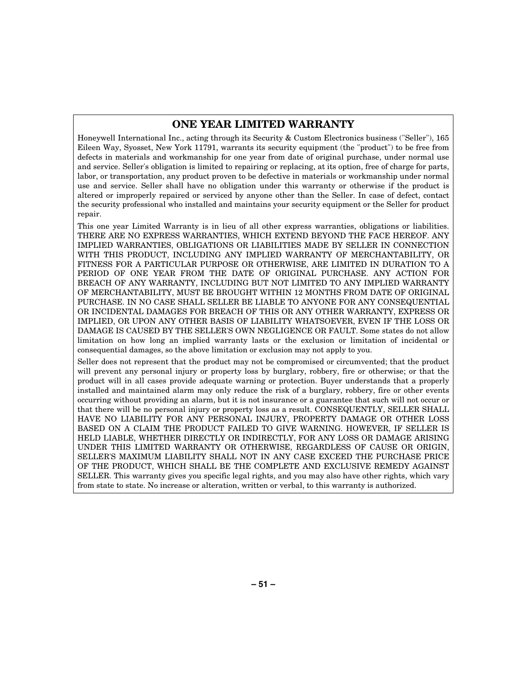### **ONE YEAR LIMITED WARRANTY**

Honeywell International Inc., acting through its Security & Custom Electronics business ("Seller"), 165 Eileen Way, Syosset, New York 11791, warrants its security equipment (the "product") to be free from defects in materials and workmanship for one year from date of original purchase, under normal use and service. Seller's obligation is limited to repairing or replacing, at its option, free of charge for parts, labor, or transportation, any product proven to be defective in materials or workmanship under normal use and service. Seller shall have no obligation under this warranty or otherwise if the product is altered or improperly repaired or serviced by anyone other than the Seller. In case of defect, contact the security professional who installed and maintains your security equipment or the Seller for product repair.

This one year Limited Warranty is in lieu of all other express warranties, obligations or liabilities. THERE ARE NO EXPRESS WARRANTIES, WHICH EXTEND BEYOND THE FACE HEREOF. ANY IMPLIED WARRANTIES, OBLIGATIONS OR LIABILITIES MADE BY SELLER IN CONNECTION WITH THIS PRODUCT, INCLUDING ANY IMPLIED WARRANTY OF MERCHANTABILITY, OR FITNESS FOR A PARTICULAR PURPOSE OR OTHERWISE, ARE LIMITED IN DURATION TO A PERIOD OF ONE YEAR FROM THE DATE OF ORIGINAL PURCHASE. ANY ACTION FOR BREACH OF ANY WARRANTY, INCLUDING BUT NOT LIMITED TO ANY IMPLIED WARRANTY OF MERCHANTABILITY, MUST BE BROUGHT WITHIN 12 MONTHS FROM DATE OF ORIGINAL PURCHASE. IN NO CASE SHALL SELLER BE LIABLE TO ANYONE FOR ANY CONSEQUENTIAL OR INCIDENTAL DAMAGES FOR BREACH OF THIS OR ANY OTHER WARRANTY, EXPRESS OR IMPLIED, OR UPON ANY OTHER BASIS OF LIABILITY WHATSOEVER, EVEN IF THE LOSS OR DAMAGE IS CAUSED BY THE SELLER'S OWN NEGLIGENCE OR FAULT. Some states do not allow limitation on how long an implied warranty lasts or the exclusion or limitation of incidental or consequential damages, so the above limitation or exclusion may not apply to you.

Seller does not represent that the product may not be compromised or circumvented; that the product will prevent any personal injury or property loss by burglary, robbery, fire or otherwise; or that the product will in all cases provide adequate warning or protection. Buyer understands that a properly installed and maintained alarm may only reduce the risk of a burglary, robbery, fire or other events occurring without providing an alarm, but it is not insurance or a guarantee that such will not occur or that there will be no personal injury or property loss as a result. CONSEQUENTLY, SELLER SHALL HAVE NO LIABILITY FOR ANY PERSONAL INJURY, PROPERTY DAMAGE OR OTHER LOSS BASED ON A CLAIM THE PRODUCT FAILED TO GIVE WARNING. HOWEVER, IF SELLER IS HELD LIABLE, WHETHER DIRECTLY OR INDIRECTLY, FOR ANY LOSS OR DAMAGE ARISING UNDER THIS LIMITED WARRANTY OR OTHERWISE, REGARDLESS OF CAUSE OR ORIGIN, SELLER'S MAXIMUM LIABILITY SHALL NOT IN ANY CASE EXCEED THE PURCHASE PRICE OF THE PRODUCT, WHICH SHALL BE THE COMPLETE AND EXCLUSIVE REMEDY AGAINST SELLER. This warranty gives you specific legal rights, and you may also have other rights, which vary from state to state. No increase or alteration, written or verbal, to this warranty is authorized.